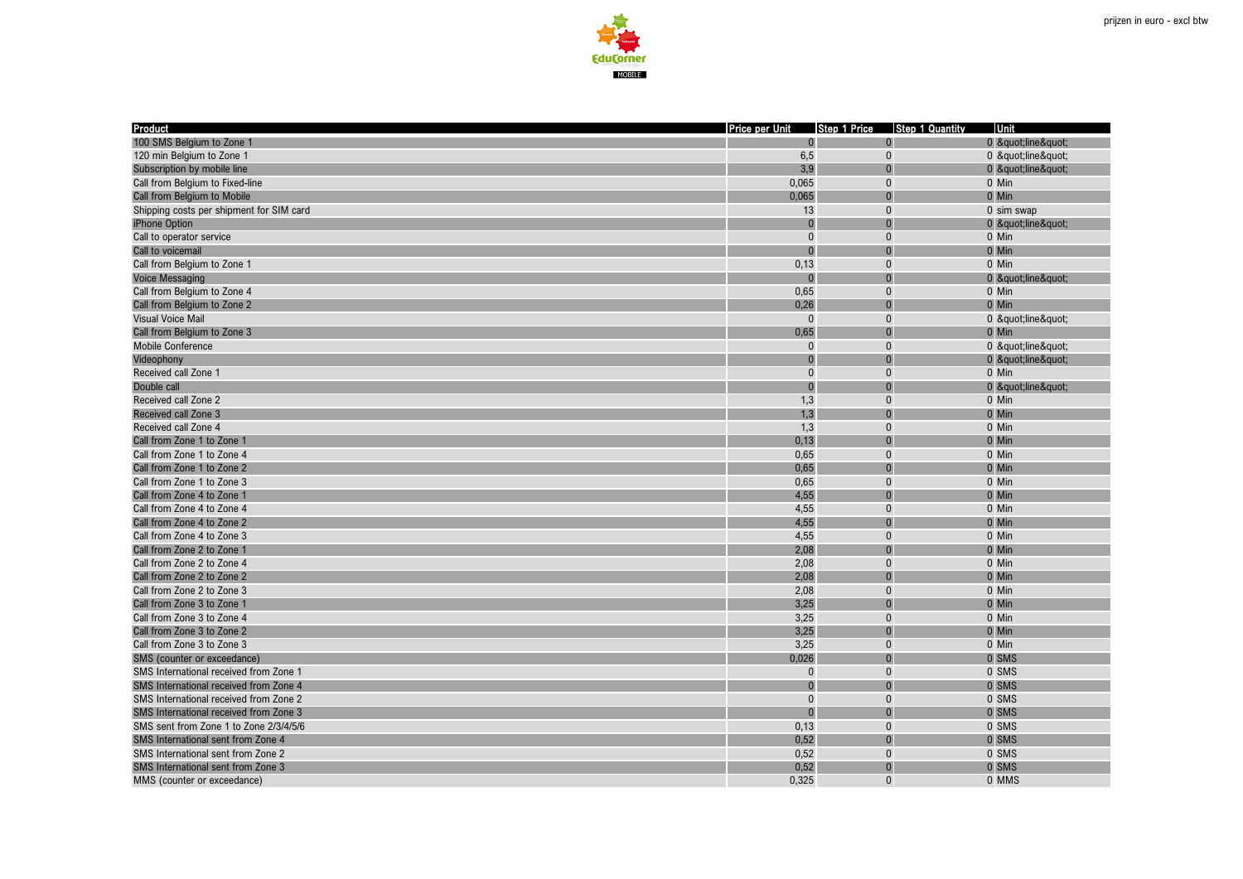

| <b>Product</b>                            | Price per Unit |                | Step 1 Price Step 1 Quantity | Unit       |
|-------------------------------------------|----------------|----------------|------------------------------|------------|
| 100 SMS Belgium to Zone 1                 |                |                |                              | 0 "line"   |
| 120 min Belgium to Zone 1                 | 6,5            | $\Omega$       |                              | 0 "line"   |
| Subscription by mobile line               | 3,9            | $\Omega$       |                              | 0 "line"   |
| Call from Belgium to Fixed-line           | 0,065          | $\Omega$       |                              | 0 Min      |
| Call from Belgium to Mobile               | 0,065          | $\overline{0}$ |                              | 0 Min      |
| Shipping costs per shipment for SIM card  | 13             | $\Omega$       |                              | 0 sim swap |
| iPhone Option                             |                | $\overline{0}$ |                              | 0 "line"   |
| Call to operator service                  | $\Omega$       | $\Omega$       |                              | 0 Min      |
| Call to voicemail                         | $\Omega$       |                |                              | 0 Min      |
| Call from Belgium to Zone 1               | 0,13           | $\Omega$       |                              | 0 Min      |
| <b>Voice Messaging</b>                    |                |                |                              | 0 "line"   |
| Call from Belgium to Zone 4               | 0,65           | $\Omega$       |                              | 0 Min      |
| Call from Belgium to Zone 2               | 0,26           |                |                              | 0 Min      |
| <b>Visual Voice Mail</b>                  | $\Omega$       | $\Omega$       |                              | 0 "line"   |
| Call from Belgium to Zone 3               | 0,65           | $\Omega$       |                              | 0 Min      |
| Mobile Conference                         | $\Omega$       | $\Omega$       |                              | 0 "line"   |
| Videophony                                | $\Omega$       | $\Omega$       |                              | 0 "line"   |
| Received call Zone 1                      | $\mathbf{0}$   | $\Omega$       |                              | 0 Min      |
| Double call                               | $\Omega$       | $\Omega$       |                              | 0 "line"   |
| Received call Zone 2                      | 1,3            | $\Omega$       |                              | 0 Min      |
| Received call Zone 3                      | 1,3            | $\Omega$       |                              | 0 Min      |
| Received call Zone 4                      | 1,3            | $\mathbf{0}$   |                              | 0 Min      |
| Call from Zone 1 to Zone 1                | 0,13           | $\theta$       |                              | 0 Min      |
| Call from Zone 1 to Zone 4                | 0,65           | $\mathbf{0}$   |                              | 0 Min      |
| Call from Zone 1 to Zone 2                | 0,65           | $\Omega$       |                              | 0 Min      |
| Call from Zone 1 to Zone 3                | 0,65           | $\mathbf{0}$   |                              | 0 Min      |
| Call from Zone 4 to Zone 1                | 4,55           | $\Omega$       |                              | 0 Min      |
| Call from Zone 4 to Zone 4                | 4,55           | $\Omega$       |                              | 0 Min      |
| Call from Zone 4 to Zone 2                | 4,55           | $\Omega$       |                              | 0 Min      |
| Call from Zone 4 to Zone 3                | 4,55           | $\Omega$       |                              | 0 Min      |
| Call from Zone 2 to Zone 1                | 2,08           | $\Omega$       |                              | 0 Min      |
| Call from Zone 2 to Zone 4                | 2,08           | $\Omega$       |                              | 0 Min      |
| Call from Zone 2 to Zone 2                | 2,08           | $\Omega$       |                              | 0 Min      |
| Call from Zone 2 to Zone 3                | 2,08           | $\Omega$       |                              | 0 Min      |
| Call from Zone 3 to Zone 1                | 3,25           |                |                              | 0 Min      |
| Call from Zone 3 to Zone 4                | 3,25           | $\Omega$       |                              | 0 Min      |
| Call from Zone 3 to Zone 2                | 3,25           |                |                              | 0 Min      |
| Call from Zone 3 to Zone 3                | 3,25           | $\Omega$       |                              | 0 Min      |
| SMS (counter or exceedance)               | 0,026          | $\Omega$       |                              | 0 SMS      |
| SMS International received from Zone 1    | $\Omega$       | $\Omega$       |                              | 0 SMS      |
| SMS International received from Zone 4    |                |                |                              | 0 SMS      |
| SMS International received from Zone 2    | $\Omega$       | $\Omega$       |                              | 0 SMS      |
| SMS International received from Zone 3    | $\Omega$       | $\Omega$       |                              | 0 SMS      |
| SMS sent from Zone 1 to Zone 2/3/4/5/6    | 0,13           | $\Omega$       |                              | 0 SMS      |
| SMS International sent from Zone 4        | 0,52           | $\overline{0}$ |                              | 0 SMS      |
| SMS International sent from Zone 2        | 0,52           | $\Omega$       |                              | 0 SMS      |
| <b>SMS</b> International sent from Zone 3 | 0,52           | $\Omega$       |                              | 0 SMS      |
| MMS (counter or exceedance)               | 0.325          | $\Omega$       |                              | 0 MMS      |
|                                           |                |                |                              |            |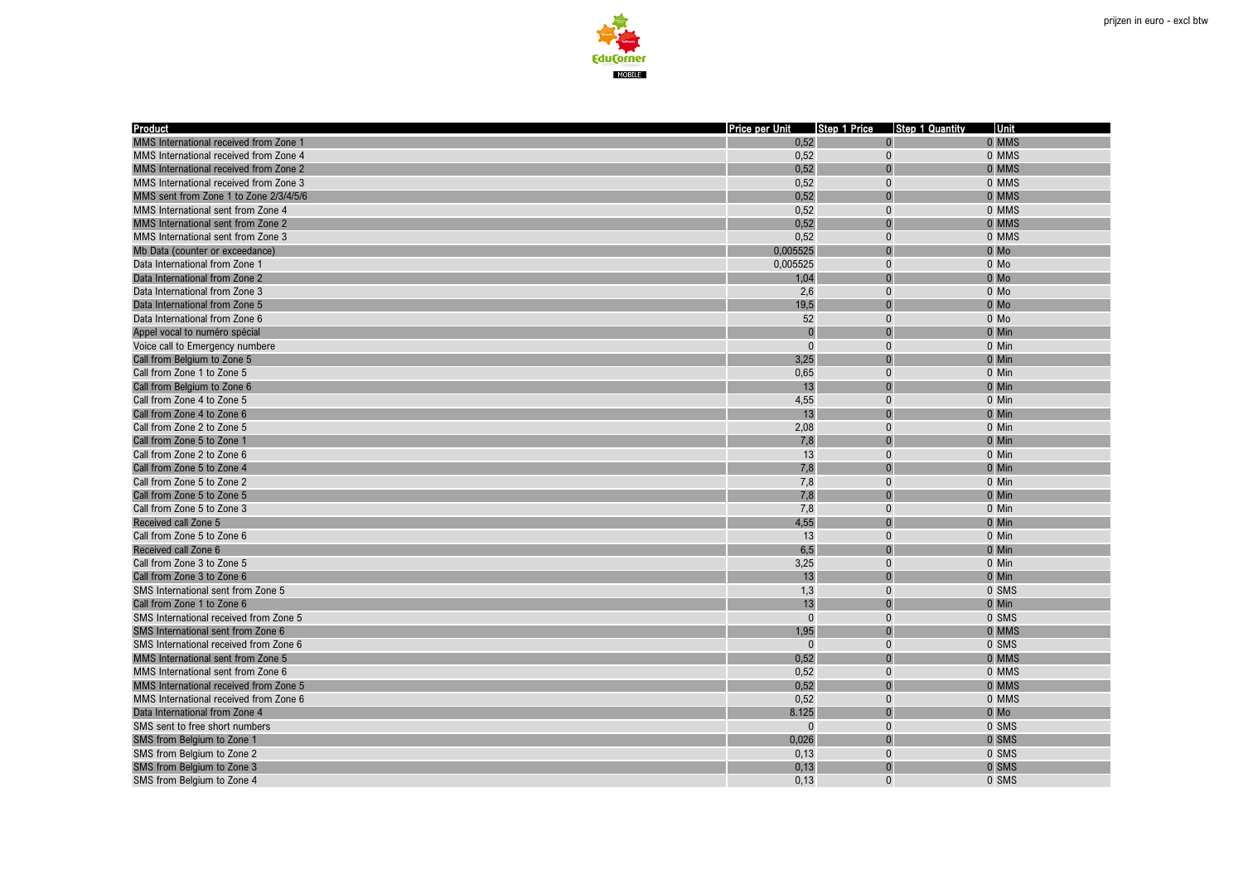

| <b>Product</b>                         | Price per Unit Step 1 Price Step 1 Quantity |                          |                | Unit   |
|----------------------------------------|---------------------------------------------|--------------------------|----------------|--------|
| MMS International received from Zone 1 | 0,52                                        |                          | $\overline{0}$ | 0 MMS  |
| MMS International received from Zone 4 | 0,52                                        | $\mathbf{0}$             |                | 0 MMS  |
| MMS International received from Zone 2 | 0,52                                        | $\mathbf{0}$             |                | 0 MMS  |
| MMS International received from Zone 3 | 0,52                                        | $\mathbf{0}$             |                | 0 MMS  |
| MMS sent from Zone 1 to Zone 2/3/4/5/6 | 0,52                                        | $\mathbf{0}$             |                | 0 MMS  |
| MMS International sent from Zone 4     | 0,52                                        | $\bf{0}$                 |                | 0 MMS  |
| MMS International sent from Zone 2     | 0,52                                        | $\mathbf{0}$             |                | 0 MMS  |
| MMS International sent from Zone 3     | 0,52                                        | $\mathbf{0}$             |                | 0 MMS  |
| Mb Data (counter or exceedance)        | 0,005525                                    | $\Omega$                 |                | $0$ Mo |
| Data International from Zone 1         | 0.005525                                    | $\Omega$                 |                | $0$ Mo |
| Data International from Zone 2         | 1,04                                        | $\overline{0}$           |                | $0$ Mo |
| Data International from Zone 3         | 2,6                                         | $\mathbf{0}$             |                | 0 Mo   |
| Data International from Zone 5         | 19,5                                        | $\mathbf{0}$             |                | $0$ Mo |
| Data International from Zone 6         | 52                                          | $\mathbf{0}$             |                | 0 Mo   |
| Appel vocal to numéro spécial          | $\Omega$                                    | $\Omega$                 |                | 0 Min  |
| Voice call to Emergency numbere        | $\Omega$                                    | $\Omega$                 |                | 0 Min  |
| Call from Belgium to Zone 5            | 3,25                                        | $\Omega$                 |                | 0 Min  |
| Call from Zone 1 to Zone 5             | 0,65                                        | $\pmb{0}$                |                | 0 Min  |
| Call from Belgium to Zone 6            | 13                                          | $\Omega$                 |                | 0 Min  |
| Call from Zone 4 to Zone 5             | 4,55                                        | $\mathbf{0}$             |                | 0 Min  |
| Call from Zone 4 to Zone 6             | 13                                          | $\Omega$                 |                | 0 Min  |
| Call from Zone 2 to Zone 5             | 2,08                                        | $\mathbf{0}$             |                | 0 Min  |
| Call from Zone 5 to Zone 1             | 7,8                                         | $\Omega$                 |                | 0 Min  |
| Call from Zone 2 to Zone 6             | 13                                          | $\pmb{0}$                |                | 0 Min  |
| Call from Zone 5 to Zone 4             | 7,8                                         | $\Omega$                 |                | 0 Min  |
| Call from Zone 5 to Zone 2             | 7,8                                         | $\mathbf{0}$             |                | 0 Min  |
| Call from Zone 5 to Zone 5             | 7,8                                         | $\Omega$                 |                | 0 Min  |
| Call from Zone 5 to Zone 3             | 7,8                                         | $\Omega$                 |                | 0 Min  |
| Received call Zone 5                   | 4,55                                        | $\Omega$                 |                | 0 Min  |
|                                        | 13                                          | $\mathbf{0}$             |                | 0 Min  |
| Call from Zone 5 to Zone 6             | 6,5                                         | $\Omega$                 |                |        |
| Received call Zone 6                   |                                             |                          |                | 0 Min  |
| Call from Zone 3 to Zone 5             | 3,25                                        | $\mathbf{0}$<br>$\Omega$ |                | 0 Min  |
| Call from Zone 3 to Zone 6             | 13                                          |                          |                | 0 Min  |
| SMS International sent from Zone 5     | 1,3                                         | $\mathbf{0}$<br>$\Omega$ |                | 0 SMS  |
| Call from Zone 1 to Zone 6             | 13                                          |                          |                | 0 Min  |
| SMS International received from Zone 5 | $\mathbf{0}$                                | $\mathbf{0}$             |                | 0 SMS  |
| SMS International sent from Zone 6     | 1,95                                        |                          |                | 0 MMS  |
| SMS International received from Zone 6 | $\Omega$                                    | $\mathbf{0}$             |                | 0 SMS  |
| MMS International sent from Zone 5     | 0,52                                        | $\mathbf{0}$             |                | 0 MMS  |
| MMS International sent from Zone 6     | 0,52                                        | $\mathbf{0}$             |                | 0 MMS  |
| MMS International received from Zone 5 | 0,52                                        | $\Omega$                 |                | 0 MMS  |
| MMS International received from Zone 6 | 0,52                                        | $\bf{0}$                 |                | 0 MMS  |
| Data International from Zone 4         | 8.125                                       | $\mathbf{0}$             |                | $0$ Mo |
| SMS sent to free short numbers         | $\mathbf{0}$                                | $\mathbf{0}$             |                | 0 SMS  |
| SMS from Belgium to Zone 1             | 0,026                                       | $\Omega$                 |                | 0 SMS  |
| SMS from Belgium to Zone 2             | 0,13                                        | $\mathbf{0}$             |                | 0 SMS  |
| SMS from Belgium to Zone 3             | 0,13                                        | $\mathbf{0}$             |                | 0 SMS  |
| SMS from Belgium to Zone 4             | 0.13                                        | $\Omega$                 |                | 0 SMS  |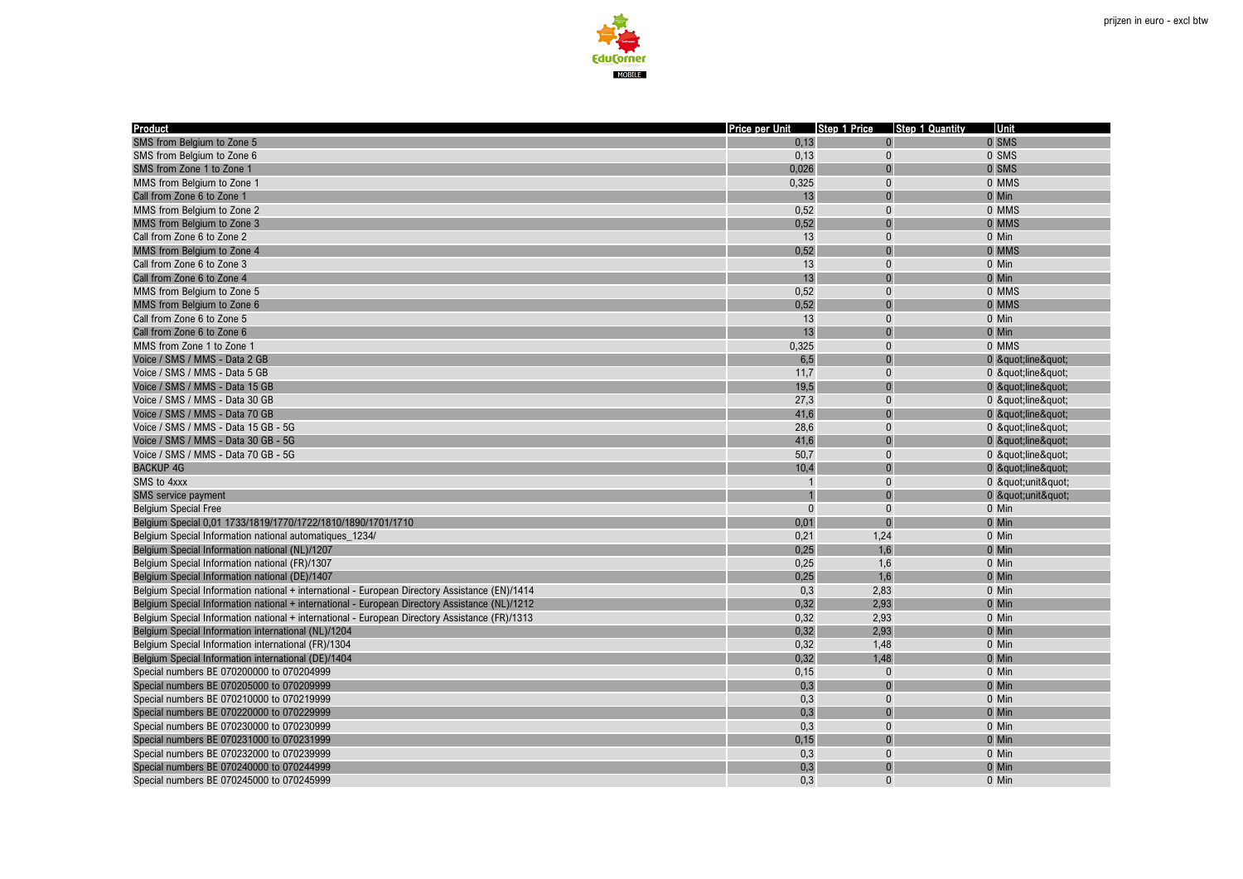

| <b>Product</b>                                                                                 | Price per Unit | Step 1 Price | <b>Step 1 Quantity</b> | Unit     |
|------------------------------------------------------------------------------------------------|----------------|--------------|------------------------|----------|
| SMS from Belgium to Zone 5                                                                     | 0,13           |              |                        | 0 SMS    |
| SMS from Belgium to Zone 6                                                                     | 0,13           | $\Omega$     |                        | 0 SMS    |
| SMS from Zone 1 to Zone 1                                                                      | 0.026          | $\Omega$     |                        | 0 SMS    |
| MMS from Belgium to Zone 1                                                                     | 0,325          | $\Omega$     |                        | 0 MMS    |
| Call from Zone 6 to Zone 1                                                                     | 13             | $\Omega$     |                        | 0 Min    |
| MMS from Belgium to Zone 2                                                                     | 0,52           | $\mathbf{0}$ |                        | 0 MMS    |
| MMS from Belgium to Zone 3                                                                     | 0,52           | $\Omega$     |                        | 0 MMS    |
| Call from Zone 6 to Zone 2                                                                     | 13             | $\Omega$     |                        | 0 Min    |
| MMS from Belgium to Zone 4                                                                     | 0,52           |              |                        | 0 MMS    |
| Call from Zone 6 to Zone 3                                                                     | 13             | $\Omega$     |                        | 0 Min    |
| Call from Zone 6 to Zone 4                                                                     | 13             |              |                        | 0 Min    |
| MMS from Belgium to Zone 5                                                                     | 0,52           | $\Omega$     |                        | 0 MMS    |
| MMS from Belgium to Zone 6                                                                     | 0,52           |              |                        | 0 MMS    |
| Call from Zone 6 to Zone 5                                                                     | 13             | $\Omega$     |                        | 0 Min    |
| Call from Zone 6 to Zone 6                                                                     | 13             |              |                        | 0 Min    |
| MMS from Zone 1 to Zone 1                                                                      | 0,325          | $\Omega$     |                        | 0 MMS    |
| Voice / SMS / MMS - Data 2 GB                                                                  | 6,5            | $\Omega$     |                        | 0 "line" |
| Voice / SMS / MMS - Data 5 GB                                                                  | 11,7           | $\mathbf{0}$ |                        | 0 "line" |
| Voice / SMS / MMS - Data 15 GB                                                                 | 19,5           | $\Omega$     |                        | 0 "line" |
| Voice / SMS / MMS - Data 30 GB                                                                 | 27,3           | $\Omega$     |                        | 0 "line" |
| Voice / SMS / MMS - Data 70 GB                                                                 | 41,6           |              |                        | 0 "line" |
| Voice / SMS / MMS - Data 15 GB - 5G                                                            | 28,6           | $\mathbf{0}$ |                        | 0 "line" |
| Voice / SMS / MMS - Data 30 GB - 5G                                                            | 41,6           | $\Omega$     |                        | 0 "line" |
| Voice / SMS / MMS - Data 70 GB - 5G                                                            | 50,7           | $\Omega$     |                        | 0 "line" |
| <b>BACKUP 4G</b>                                                                               | 10,4           |              |                        | 0 "line" |
| SMS to 4xxx                                                                                    |                | $\Omega$     |                        | 0 "unit" |
| SMS service payment                                                                            |                | $\Omega$     |                        | 0 "unit" |
| <b>Belgium Special Free</b>                                                                    | $\Omega$       | $\Omega$     |                        | 0 Min    |
| Belgium Special 0,01 1733/1819/1770/1722/1810/1890/1701/1710                                   | 0,01           |              |                        | 0 Min    |
| Belgium Special Information national automatiques_1234/                                        | 0,21           | 1,24         |                        | 0 Min    |
| Belgium Special Information national (NL)/1207                                                 | 0,25           | 1,6          |                        | 0 Min    |
| Belgium Special Information national (FR)/1307                                                 | 0,25           | 1,6          |                        | 0 Min    |
| Belgium Special Information national (DE)/1407                                                 | 0,25           | 1,6          |                        | 0 Min    |
| Belgium Special Information national + international - European Directory Assistance (EN)/1414 | 0,3            | 2,83         |                        | 0 Min    |
| Belgium Special Information national + international - European Directory Assistance (NL)/1212 | 0,32           | 2,93         |                        | 0 Min    |
| Belgium Special Information national + international - European Directory Assistance (FR)/1313 | 0,32           | 2,93         |                        | 0 Min    |
| Belgium Special Information international (NL)/1204                                            | 0,32           | 2.93         |                        | 0 Min    |
| Belgium Special Information international (FR)/1304                                            | 0,32           | 1,48         |                        | 0 Min    |
| Belgium Special Information international (DE)/1404                                            | 0,32           | 1,48         |                        | 0 Min    |
| Special numbers BE 070200000 to 070204999                                                      | 0,15           | $\Omega$     |                        | 0 Min    |
| Special numbers BE 070205000 to 070209999                                                      | 0,3            | $\Omega$     |                        | 0 Min    |
| Special numbers BE 070210000 to 070219999                                                      | 0,3            | $\Omega$     |                        | 0 Min    |
| Special numbers BE 070220000 to 070229999                                                      | 0,3            | $\Omega$     |                        | 0 Min    |
| Special numbers BE 070230000 to 070230999                                                      | 0,3            | $\mathbf{0}$ |                        | 0 Min    |
| Special numbers BE 070231000 to 070231999                                                      | 0,15           | $\Omega$     |                        | 0 Min    |
| Special numbers BE 070232000 to 070239999                                                      | 0,3            | $\Omega$     |                        | 0 Min    |
| Special numbers BE 070240000 to 070244999                                                      | 0,3            | $\sqrt{ }$   |                        | 0 Min    |
| Special numbers BE 070245000 to 070245999                                                      | 0.3            | $\Omega$     |                        | 0 Min    |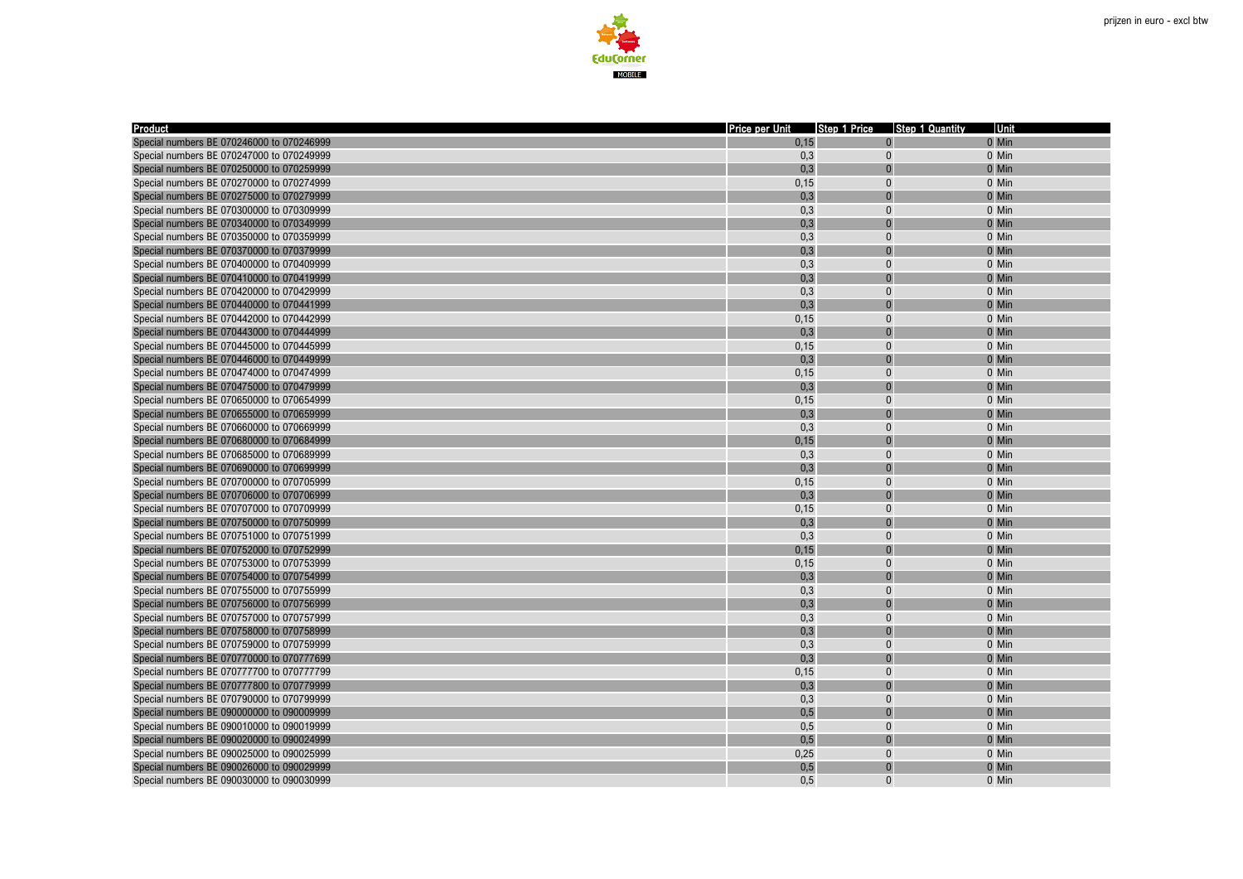



| <b>Product</b>                                                                         | Price per Unit |                | Step 1 Price Step 1 Quantity | Unit  |
|----------------------------------------------------------------------------------------|----------------|----------------|------------------------------|-------|
| Special numbers BE 070246000 to 070246999                                              | 0,15           | $\Omega$       |                              | 0 Min |
| Special numbers BE 070247000 to 070249999                                              | 0,3            | $\mathbf{0}$   |                              | 0 Min |
| Special numbers BE 070250000 to 070259999                                              | 0.3            |                |                              | 0 Min |
| Special numbers BE 070270000 to 070274999                                              | 0,15           | $\Omega$       |                              | 0 Min |
| Special numbers BE 070275000 to 070279999                                              | 0,3            | $\Omega$       |                              | 0 Min |
| Special numbers BE 070300000 to 070309999                                              | 0,3            | $\mathbf{0}$   |                              | 0 Min |
| Special numbers BE 070340000 to 070349999                                              | 0,3            | $\Omega$       |                              | 0 Min |
| Special numbers BE 070350000 to 070359999                                              | 0,3            | $\Omega$       |                              | 0 Min |
| Special numbers BE 070370000 to 070379999                                              | 0,3            | $\Omega$       |                              | 0 Min |
| Special numbers BE 070400000 to 070409999                                              | 0,3            | $\Omega$       |                              | 0 Min |
| Special numbers BE 070410000 to 070419999                                              | 0,3            | $\Omega$       |                              | 0 Min |
| Special numbers BE 070420000 to 070429999                                              | 0,3            | $\Omega$       |                              | 0 Min |
| Special numbers BE 070440000 to 070441999                                              | 0,3            |                |                              | 0 Min |
| Special numbers BE 070442000 to 070442999                                              | 0,15           | $\Omega$       |                              | 0 Min |
| Special numbers BE 070443000 to 070444999                                              | 0,3            |                |                              | 0 Min |
| Special numbers BE 070445000 to 070445999                                              | 0,15           | $\Omega$       |                              | 0 Min |
| Special numbers BE 070446000 to 070449999                                              | 0,3            | $\Omega$       |                              | 0 Min |
| Special numbers BE 070474000 to 070474999                                              | 0,15           | $\Omega$       |                              | 0 Min |
| Special numbers BE 070475000 to 070479999                                              | 0,3            | $\Omega$       |                              | 0 Min |
| Special numbers BE 070650000 to 070654999                                              | 0,15           | $\Omega$       |                              | 0 Min |
| Special numbers BE 070655000 to 070659999                                              | 0,3            | $\overline{0}$ |                              | 0 Min |
| Special numbers BE 070660000 to 070669999                                              | 0,3            | $\mathbf{0}$   |                              | 0 Min |
| Special numbers BE 070680000 to 070684999                                              | 0,15           |                |                              | 0 Min |
| Special numbers BE 070685000 to 070689999                                              | 0,3            | $\mathbf{0}$   |                              | 0 Min |
| Special numbers BE 070690000 to 070699999                                              | 0,3            |                |                              | 0 Min |
| Special numbers BE 070700000 to 070705999                                              | 0,15           | $\Omega$       |                              | 0 Min |
|                                                                                        | 0,3            |                |                              | 0 Min |
| Special numbers BE 070706000 to 070706999<br>Special numbers BE 070707000 to 070709999 | 0,15           | $\Omega$       |                              | 0 Min |
| Special numbers BE 070750000 to 070750999                                              | 0,3            |                |                              | 0 Min |
| Special numbers BE 070751000 to 070751999                                              | 0,3            | $\Omega$       |                              | 0 Min |
| Special numbers BE 070752000 to 070752999                                              | 0,15           | $\Omega$       |                              | 0 Min |
| Special numbers BE 070753000 to 070753999                                              |                | $\Omega$       |                              | 0 Min |
|                                                                                        | 0,15           |                |                              |       |
| Special numbers BE 070754000 to 070754999                                              | 0,3<br>0,3     | $\Omega$       |                              | 0 Min |
| Special numbers BE 070755000 to 070755999                                              |                |                |                              | 0 Min |
| Special numbers BE 070756000 to 070756999                                              | 0,3<br>0,3     | $\Omega$       |                              | 0 Min |
| Special numbers BE 070757000 to 070757999                                              |                |                |                              | 0 Min |
| Special numbers BE 070758000 to 070758999                                              | 0,3            |                |                              | 0 Min |
| Special numbers BE 070759000 to 070759999                                              | 0,3            | $\Omega$       |                              | 0 Min |
| Special numbers BE 070770000 to 070777699                                              | 0,3            | $\Omega$       |                              | 0 Min |
| Special numbers BE 070777700 to 070777799                                              | 0,15           | $\Omega$       |                              | 0 Min |
| Special numbers BE 070777800 to 070779999                                              | 0,3            | $\Omega$       |                              | 0 Min |
| Special numbers BE 070790000 to 070799999                                              | 0,3            | $\Omega$       |                              | 0 Min |
| Special numbers BE 090000000 to 090009999                                              | 0,5            |                |                              | 0 Min |
| Special numbers BE 090010000 to 090019999                                              | 0,5            | $\mathbf{0}$   |                              | 0 Min |
| Special numbers BE 090020000 to 090024999                                              | 0,5            |                |                              | 0 Min |
| Special numbers BE 090025000 to 090025999                                              | 0,25           | $\Omega$       |                              | 0 Min |
| Special numbers BE 090026000 to 090029999                                              | 0,5            | $\Omega$       |                              | 0 Min |
| Special numbers BE 090030000 to 090030999                                              | 0.5            | $\Omega$       |                              | 0 Min |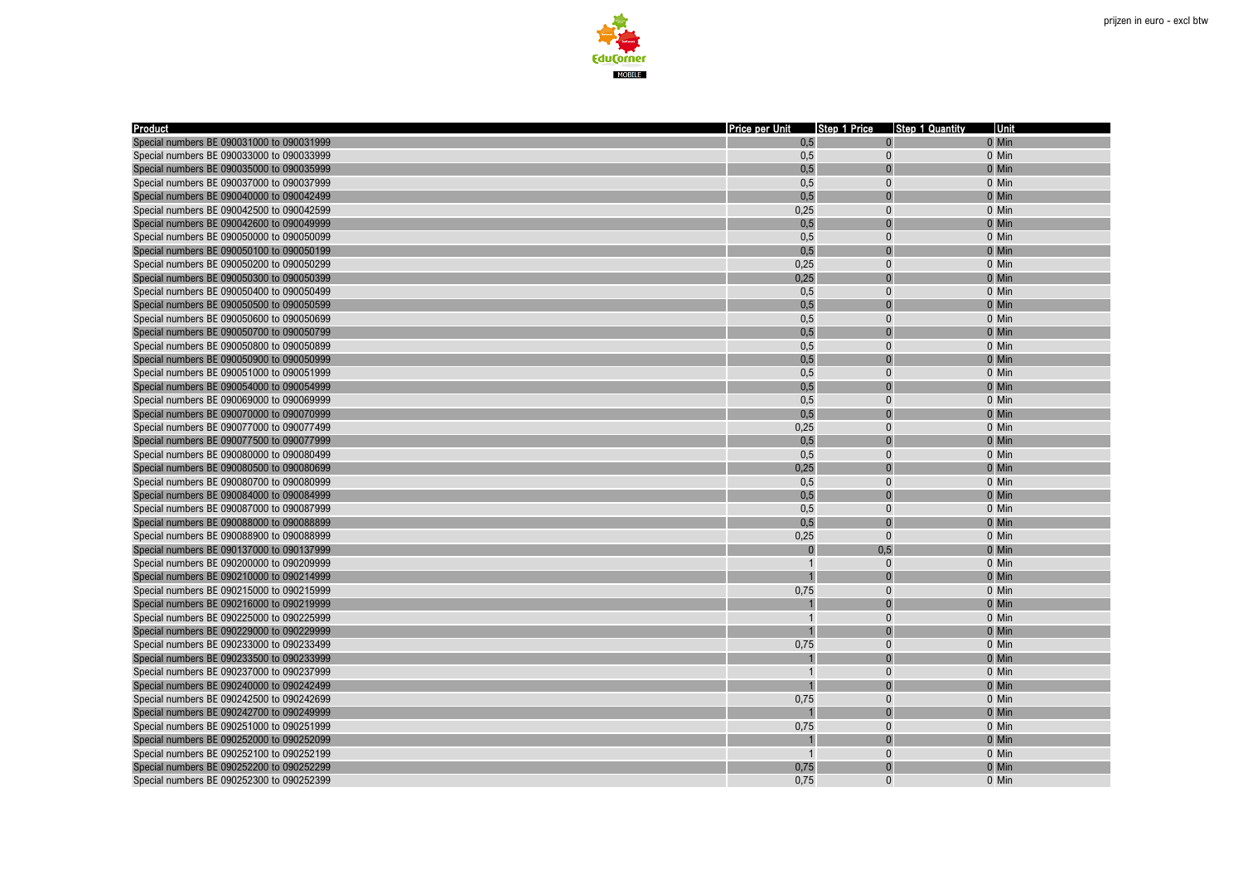



| Product                                   | Price per Unit Step 1 Price Step 1 Quantity |              | <b>Unit</b> |
|-------------------------------------------|---------------------------------------------|--------------|-------------|
| Special numbers BE 090031000 to 090031999 | 0,5                                         | $\Omega$     | 0 Min       |
| Special numbers BE 090033000 to 090033999 | 0,5                                         | $\mathbf{0}$ | 0 Min       |
| Special numbers BE 090035000 to 090035999 | 0,5                                         |              | 0 Min       |
| Special numbers BE 090037000 to 090037999 | 0,5                                         | $\Omega$     | 0 Min       |
| Special numbers BE 090040000 to 090042499 | 0,5                                         | $\Omega$     | 0 Min       |
| Special numbers BE 090042500 to 090042599 | 0,25                                        | $\mathbf{0}$ | 0 Min       |
| Special numbers BE 090042600 to 090049999 | 0,5                                         | $\Omega$     | 0 Min       |
| Special numbers BE 090050000 to 090050099 | 0,5                                         | $\Omega$     | 0 Min       |
| Special numbers BE 090050100 to 090050199 | 0,5                                         | $\Omega$     | 0 Min       |
| Special numbers BE 090050200 to 090050299 | 0,25                                        | $\Omega$     | 0 Min       |
| Special numbers BE 090050300 to 090050399 | 0,25                                        | $\Omega$     | 0 Min       |
| Special numbers BE 090050400 to 090050499 | 0,5                                         | $\Omega$     | 0 Min       |
| Special numbers BE 090050500 to 090050599 | 0,5                                         |              | 0 Min       |
| Special numbers BE 090050600 to 090050699 | 0,5                                         | $\Omega$     | 0 Min       |
| Special numbers BE 090050700 to 090050799 | 0,5                                         |              | 0 Min       |
| Special numbers BE 090050800 to 090050899 | 0,5                                         | $\Omega$     | 0 Min       |
| Special numbers BE 090050900 to 090050999 | 0,5                                         |              | 0 Min       |
| Special numbers BE 090051000 to 090051999 | 0,5                                         | $\Omega$     | 0 Min       |
| Special numbers BE 090054000 to 090054999 | 0,5                                         | $\Omega$     | 0 Min       |
| Special numbers BE 090069000 to 090069999 | 0,5                                         | $\Omega$     | 0 Min       |
| Special numbers BE 090070000 to 090070999 | 0,5                                         | $\Omega$     | 0 Min       |
| Special numbers BE 090077000 to 090077499 | 0,25                                        | $\mathbf{0}$ | 0 Min       |
| Special numbers BE 090077500 to 090077999 | 0,5                                         | $\Omega$     | 0 Min       |
| Special numbers BE 090080000 to 090080499 | 0,5                                         | $\mathbf{0}$ | 0 Min       |
| Special numbers BE 090080500 to 090080699 | 0,25                                        |              | 0 Min       |
| Special numbers BE 090080700 to 090080999 | 0,5                                         | $\mathbf{0}$ | 0 Min       |
| Special numbers BE 090084000 to 090084999 | 0,5                                         |              | 0 Min       |
| Special numbers BE 090087000 to 090087999 | 0,5                                         | $\Omega$     | 0 Min       |
| Special numbers BE 090088000 to 090088899 | 0,5                                         |              | 0 Min       |
| Special numbers BE 090088900 to 090088999 | 0,25                                        | $\Omega$     | 0 Min       |
| Special numbers BE 090137000 to 090137999 |                                             | 0,5          | 0 Min       |
| Special numbers BE 090200000 to 090209999 |                                             | $\Omega$     | 0 Min       |
| Special numbers BE 090210000 to 090214999 |                                             |              | 0 Min       |
| Special numbers BE 090215000 to 090215999 | 0,75                                        | $\Omega$     | 0 Min       |
| Special numbers BE 090216000 to 090219999 |                                             |              | 0 Min       |
| Special numbers BE 090225000 to 090225999 |                                             | $\Omega$     | 0 Min       |
| Special numbers BE 090229000 to 090229999 |                                             |              | 0 Min       |
| Special numbers BE 090233000 to 090233499 | 0,75                                        | $\Omega$     | 0 Min       |
| Special numbers BE 090233500 to 090233999 |                                             |              | 0 Min       |
| Special numbers BE 090237000 to 090237999 |                                             | $\Omega$     | 0 Min       |
| Special numbers BE 090240000 to 090242499 |                                             |              | 0 Min       |
| Special numbers BE 090242500 to 090242699 | 0,75                                        | $\Omega$     | 0 Min       |
| Special numbers BE 090242700 to 090249999 |                                             |              | 0 Min       |
| Special numbers BE 090251000 to 090251999 | 0,75                                        | $\Omega$     | 0 Min       |
| Special numbers BE 090252000 to 090252099 |                                             |              | 0 Min       |
| Special numbers BE 090252100 to 090252199 |                                             | $\Omega$     | 0 Min       |
| Special numbers BE 090252200 to 090252299 | 0,75                                        | $\Omega$     | 0 Min       |
| Special numbers BE 090252300 to 090252399 | 0.75                                        | $\Omega$     | 0 Min       |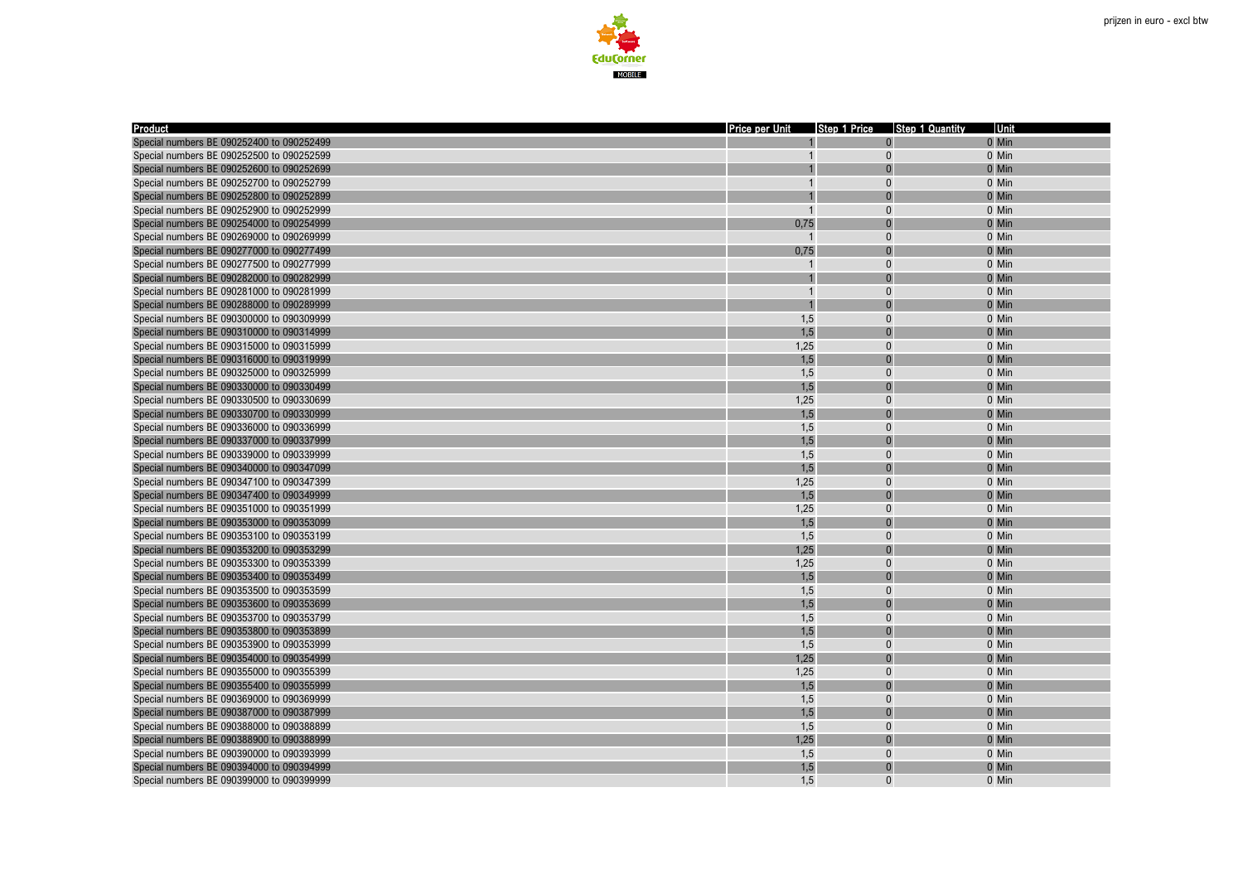

| 0 Min<br>Special numbers BE 090252400 to 090252499<br>Special numbers BE 090252500 to 090252599<br>$\Omega$<br>0 Min<br>0 Min<br>Special numbers BE 090252600 to 090252699<br>Special numbers BE 090252700 to 090252799<br>$\Omega$<br>0 Min<br>0 Min<br>Special numbers BE 090252800 to 090252899<br>$\sqrt{ }$<br>Special numbers BE 090252900 to 090252999<br>0 Min<br>$\Omega$<br>0,75<br>Special numbers BE 090254000 to 090254999<br>$\sqrt{ }$<br>0 Min<br>Special numbers BE 090269000 to 090269999<br>$\Omega$<br>0 Min<br>0,75<br>Special numbers BE 090277000 to 090277499<br>$\Omega$<br>0 Min<br>Special numbers BE 090277500 to 090277999<br>$\Omega$<br>0 Min<br>Special numbers BE 090282000 to 090282999<br>0 Min<br>Special numbers BE 090281000 to 090281999<br>$\overline{1}$<br>$\Omega$<br>0 Min<br>Special numbers BE 090288000 to 090289999<br>0 Min<br>1,5<br>Special numbers BE 090300000 to 090309999<br>$\Omega$<br>0 Min<br>1,5<br>0 Min<br>Special numbers BE 090310000 to 090314999<br>1,25<br>Special numbers BE 090315000 to 090315999<br>$\Omega$<br>0 Min<br>1,5<br>Special numbers BE 090316000 to 090319999<br>0 Min<br>1,5<br>$\Omega$<br>Special numbers BE 090325000 to 090325999<br>0 Min<br>1,5<br>Special numbers BE 090330000 to 090330499<br>0 Min<br>1,25<br>Special numbers BE 090330500 to 090330699<br>$\Omega$<br>0 Min<br>1,5<br>Special numbers BE 090330700 to 090330999<br>0 Min<br>Special numbers BE 090336000 to 090336999<br>1,5<br>$\Omega$<br>0 Min<br>1,5<br>0 Min<br>Special numbers BE 090337000 to 090337999<br>Special numbers BE 090339000 to 090339999<br>1,5<br>$\theta$<br>0 Min<br>1,5<br>Special numbers BE 090340000 to 090347099<br>0 Min<br>1,25<br>Special numbers BE 090347100 to 090347399<br>$\Omega$<br>0 Min<br>1,5<br>Special numbers BE 090347400 to 090349999<br>0 Min<br>1,25<br>Special numbers BE 090351000 to 090351999<br>$\Omega$<br>0 Min<br>1,5<br>Special numbers BE 090353000 to 090353099<br>0 Min<br>1,5<br>Special numbers BE 090353100 to 090353199<br>$\Omega$<br>0 Min<br>1,25<br>Special numbers BE 090353200 to 090353299<br>0 Min<br>1,25<br>Special numbers BE 090353300 to 090353399<br>$\Omega$<br>0 Min<br>Special numbers BE 090353400 to 090353499<br>1,5<br>0 Min<br>1,5<br>Special numbers BE 090353500 to 090353599<br>$\Omega$<br>0 Min<br>1,5<br>Special numbers BE 090353600 to 090353699<br>0 Min<br>1,5<br>Special numbers BE 090353700 to 090353799<br>$\Omega$<br>0 Min<br>1,5<br>0 Min<br>Special numbers BE 090353800 to 090353899<br>1,5<br>$\Omega$<br>Special numbers BE 090353900 to 090353999<br>0 Min<br>1,25<br>Special numbers BE 090354000 to 090354999<br>0 Min<br>1,25<br>$\Omega$<br>0 Min<br>Special numbers BE 090355000 to 090355399<br>1,5<br>Special numbers BE 090355400 to 090355999<br>0 Min<br>1,5<br>Special numbers BE 090369000 to 090369999<br>$\Omega$<br>0 Min<br>1,5<br>0 Min<br>Special numbers BE 090387000 to 090387999<br>$\Omega$<br>Special numbers BE 090388000 to 090388899<br>1,5<br>$\Omega$<br>0 Min<br>1,25<br>Special numbers BE 090388900 to 090388999<br>0 Min<br>Special numbers BE 090390000 to 090393999<br>1,5<br>$\Omega$<br>0 Min<br>1,5<br>Special numbers BE 090394000 to 090394999<br>0 Min<br>$\Omega$<br>0 Min | <b>Product</b>                            | Price per Unit | Step 1 Price | <b>Step 1 Quantity</b> | Unit |
|----------------------------------------------------------------------------------------------------------------------------------------------------------------------------------------------------------------------------------------------------------------------------------------------------------------------------------------------------------------------------------------------------------------------------------------------------------------------------------------------------------------------------------------------------------------------------------------------------------------------------------------------------------------------------------------------------------------------------------------------------------------------------------------------------------------------------------------------------------------------------------------------------------------------------------------------------------------------------------------------------------------------------------------------------------------------------------------------------------------------------------------------------------------------------------------------------------------------------------------------------------------------------------------------------------------------------------------------------------------------------------------------------------------------------------------------------------------------------------------------------------------------------------------------------------------------------------------------------------------------------------------------------------------------------------------------------------------------------------------------------------------------------------------------------------------------------------------------------------------------------------------------------------------------------------------------------------------------------------------------------------------------------------------------------------------------------------------------------------------------------------------------------------------------------------------------------------------------------------------------------------------------------------------------------------------------------------------------------------------------------------------------------------------------------------------------------------------------------------------------------------------------------------------------------------------------------------------------------------------------------------------------------------------------------------------------------------------------------------------------------------------------------------------------------------------------------------------------------------------------------------------------------------------------------------------------------------------------------------------------------------------------------------------------------------------------------------------------------------------------------------------------------------------------------------------------------------------------------------------------------------------------------------------------|-------------------------------------------|----------------|--------------|------------------------|------|
|                                                                                                                                                                                                                                                                                                                                                                                                                                                                                                                                                                                                                                                                                                                                                                                                                                                                                                                                                                                                                                                                                                                                                                                                                                                                                                                                                                                                                                                                                                                                                                                                                                                                                                                                                                                                                                                                                                                                                                                                                                                                                                                                                                                                                                                                                                                                                                                                                                                                                                                                                                                                                                                                                                                                                                                                                                                                                                                                                                                                                                                                                                                                                                                                                                                                                              |                                           |                |              |                        |      |
|                                                                                                                                                                                                                                                                                                                                                                                                                                                                                                                                                                                                                                                                                                                                                                                                                                                                                                                                                                                                                                                                                                                                                                                                                                                                                                                                                                                                                                                                                                                                                                                                                                                                                                                                                                                                                                                                                                                                                                                                                                                                                                                                                                                                                                                                                                                                                                                                                                                                                                                                                                                                                                                                                                                                                                                                                                                                                                                                                                                                                                                                                                                                                                                                                                                                                              |                                           |                |              |                        |      |
|                                                                                                                                                                                                                                                                                                                                                                                                                                                                                                                                                                                                                                                                                                                                                                                                                                                                                                                                                                                                                                                                                                                                                                                                                                                                                                                                                                                                                                                                                                                                                                                                                                                                                                                                                                                                                                                                                                                                                                                                                                                                                                                                                                                                                                                                                                                                                                                                                                                                                                                                                                                                                                                                                                                                                                                                                                                                                                                                                                                                                                                                                                                                                                                                                                                                                              |                                           |                |              |                        |      |
|                                                                                                                                                                                                                                                                                                                                                                                                                                                                                                                                                                                                                                                                                                                                                                                                                                                                                                                                                                                                                                                                                                                                                                                                                                                                                                                                                                                                                                                                                                                                                                                                                                                                                                                                                                                                                                                                                                                                                                                                                                                                                                                                                                                                                                                                                                                                                                                                                                                                                                                                                                                                                                                                                                                                                                                                                                                                                                                                                                                                                                                                                                                                                                                                                                                                                              |                                           |                |              |                        |      |
|                                                                                                                                                                                                                                                                                                                                                                                                                                                                                                                                                                                                                                                                                                                                                                                                                                                                                                                                                                                                                                                                                                                                                                                                                                                                                                                                                                                                                                                                                                                                                                                                                                                                                                                                                                                                                                                                                                                                                                                                                                                                                                                                                                                                                                                                                                                                                                                                                                                                                                                                                                                                                                                                                                                                                                                                                                                                                                                                                                                                                                                                                                                                                                                                                                                                                              |                                           |                |              |                        |      |
|                                                                                                                                                                                                                                                                                                                                                                                                                                                                                                                                                                                                                                                                                                                                                                                                                                                                                                                                                                                                                                                                                                                                                                                                                                                                                                                                                                                                                                                                                                                                                                                                                                                                                                                                                                                                                                                                                                                                                                                                                                                                                                                                                                                                                                                                                                                                                                                                                                                                                                                                                                                                                                                                                                                                                                                                                                                                                                                                                                                                                                                                                                                                                                                                                                                                                              |                                           |                |              |                        |      |
|                                                                                                                                                                                                                                                                                                                                                                                                                                                                                                                                                                                                                                                                                                                                                                                                                                                                                                                                                                                                                                                                                                                                                                                                                                                                                                                                                                                                                                                                                                                                                                                                                                                                                                                                                                                                                                                                                                                                                                                                                                                                                                                                                                                                                                                                                                                                                                                                                                                                                                                                                                                                                                                                                                                                                                                                                                                                                                                                                                                                                                                                                                                                                                                                                                                                                              |                                           |                |              |                        |      |
|                                                                                                                                                                                                                                                                                                                                                                                                                                                                                                                                                                                                                                                                                                                                                                                                                                                                                                                                                                                                                                                                                                                                                                                                                                                                                                                                                                                                                                                                                                                                                                                                                                                                                                                                                                                                                                                                                                                                                                                                                                                                                                                                                                                                                                                                                                                                                                                                                                                                                                                                                                                                                                                                                                                                                                                                                                                                                                                                                                                                                                                                                                                                                                                                                                                                                              |                                           |                |              |                        |      |
|                                                                                                                                                                                                                                                                                                                                                                                                                                                                                                                                                                                                                                                                                                                                                                                                                                                                                                                                                                                                                                                                                                                                                                                                                                                                                                                                                                                                                                                                                                                                                                                                                                                                                                                                                                                                                                                                                                                                                                                                                                                                                                                                                                                                                                                                                                                                                                                                                                                                                                                                                                                                                                                                                                                                                                                                                                                                                                                                                                                                                                                                                                                                                                                                                                                                                              |                                           |                |              |                        |      |
|                                                                                                                                                                                                                                                                                                                                                                                                                                                                                                                                                                                                                                                                                                                                                                                                                                                                                                                                                                                                                                                                                                                                                                                                                                                                                                                                                                                                                                                                                                                                                                                                                                                                                                                                                                                                                                                                                                                                                                                                                                                                                                                                                                                                                                                                                                                                                                                                                                                                                                                                                                                                                                                                                                                                                                                                                                                                                                                                                                                                                                                                                                                                                                                                                                                                                              |                                           |                |              |                        |      |
|                                                                                                                                                                                                                                                                                                                                                                                                                                                                                                                                                                                                                                                                                                                                                                                                                                                                                                                                                                                                                                                                                                                                                                                                                                                                                                                                                                                                                                                                                                                                                                                                                                                                                                                                                                                                                                                                                                                                                                                                                                                                                                                                                                                                                                                                                                                                                                                                                                                                                                                                                                                                                                                                                                                                                                                                                                                                                                                                                                                                                                                                                                                                                                                                                                                                                              |                                           |                |              |                        |      |
|                                                                                                                                                                                                                                                                                                                                                                                                                                                                                                                                                                                                                                                                                                                                                                                                                                                                                                                                                                                                                                                                                                                                                                                                                                                                                                                                                                                                                                                                                                                                                                                                                                                                                                                                                                                                                                                                                                                                                                                                                                                                                                                                                                                                                                                                                                                                                                                                                                                                                                                                                                                                                                                                                                                                                                                                                                                                                                                                                                                                                                                                                                                                                                                                                                                                                              |                                           |                |              |                        |      |
|                                                                                                                                                                                                                                                                                                                                                                                                                                                                                                                                                                                                                                                                                                                                                                                                                                                                                                                                                                                                                                                                                                                                                                                                                                                                                                                                                                                                                                                                                                                                                                                                                                                                                                                                                                                                                                                                                                                                                                                                                                                                                                                                                                                                                                                                                                                                                                                                                                                                                                                                                                                                                                                                                                                                                                                                                                                                                                                                                                                                                                                                                                                                                                                                                                                                                              |                                           |                |              |                        |      |
|                                                                                                                                                                                                                                                                                                                                                                                                                                                                                                                                                                                                                                                                                                                                                                                                                                                                                                                                                                                                                                                                                                                                                                                                                                                                                                                                                                                                                                                                                                                                                                                                                                                                                                                                                                                                                                                                                                                                                                                                                                                                                                                                                                                                                                                                                                                                                                                                                                                                                                                                                                                                                                                                                                                                                                                                                                                                                                                                                                                                                                                                                                                                                                                                                                                                                              |                                           |                |              |                        |      |
|                                                                                                                                                                                                                                                                                                                                                                                                                                                                                                                                                                                                                                                                                                                                                                                                                                                                                                                                                                                                                                                                                                                                                                                                                                                                                                                                                                                                                                                                                                                                                                                                                                                                                                                                                                                                                                                                                                                                                                                                                                                                                                                                                                                                                                                                                                                                                                                                                                                                                                                                                                                                                                                                                                                                                                                                                                                                                                                                                                                                                                                                                                                                                                                                                                                                                              |                                           |                |              |                        |      |
|                                                                                                                                                                                                                                                                                                                                                                                                                                                                                                                                                                                                                                                                                                                                                                                                                                                                                                                                                                                                                                                                                                                                                                                                                                                                                                                                                                                                                                                                                                                                                                                                                                                                                                                                                                                                                                                                                                                                                                                                                                                                                                                                                                                                                                                                                                                                                                                                                                                                                                                                                                                                                                                                                                                                                                                                                                                                                                                                                                                                                                                                                                                                                                                                                                                                                              |                                           |                |              |                        |      |
|                                                                                                                                                                                                                                                                                                                                                                                                                                                                                                                                                                                                                                                                                                                                                                                                                                                                                                                                                                                                                                                                                                                                                                                                                                                                                                                                                                                                                                                                                                                                                                                                                                                                                                                                                                                                                                                                                                                                                                                                                                                                                                                                                                                                                                                                                                                                                                                                                                                                                                                                                                                                                                                                                                                                                                                                                                                                                                                                                                                                                                                                                                                                                                                                                                                                                              |                                           |                |              |                        |      |
|                                                                                                                                                                                                                                                                                                                                                                                                                                                                                                                                                                                                                                                                                                                                                                                                                                                                                                                                                                                                                                                                                                                                                                                                                                                                                                                                                                                                                                                                                                                                                                                                                                                                                                                                                                                                                                                                                                                                                                                                                                                                                                                                                                                                                                                                                                                                                                                                                                                                                                                                                                                                                                                                                                                                                                                                                                                                                                                                                                                                                                                                                                                                                                                                                                                                                              |                                           |                |              |                        |      |
|                                                                                                                                                                                                                                                                                                                                                                                                                                                                                                                                                                                                                                                                                                                                                                                                                                                                                                                                                                                                                                                                                                                                                                                                                                                                                                                                                                                                                                                                                                                                                                                                                                                                                                                                                                                                                                                                                                                                                                                                                                                                                                                                                                                                                                                                                                                                                                                                                                                                                                                                                                                                                                                                                                                                                                                                                                                                                                                                                                                                                                                                                                                                                                                                                                                                                              |                                           |                |              |                        |      |
|                                                                                                                                                                                                                                                                                                                                                                                                                                                                                                                                                                                                                                                                                                                                                                                                                                                                                                                                                                                                                                                                                                                                                                                                                                                                                                                                                                                                                                                                                                                                                                                                                                                                                                                                                                                                                                                                                                                                                                                                                                                                                                                                                                                                                                                                                                                                                                                                                                                                                                                                                                                                                                                                                                                                                                                                                                                                                                                                                                                                                                                                                                                                                                                                                                                                                              |                                           |                |              |                        |      |
|                                                                                                                                                                                                                                                                                                                                                                                                                                                                                                                                                                                                                                                                                                                                                                                                                                                                                                                                                                                                                                                                                                                                                                                                                                                                                                                                                                                                                                                                                                                                                                                                                                                                                                                                                                                                                                                                                                                                                                                                                                                                                                                                                                                                                                                                                                                                                                                                                                                                                                                                                                                                                                                                                                                                                                                                                                                                                                                                                                                                                                                                                                                                                                                                                                                                                              |                                           |                |              |                        |      |
|                                                                                                                                                                                                                                                                                                                                                                                                                                                                                                                                                                                                                                                                                                                                                                                                                                                                                                                                                                                                                                                                                                                                                                                                                                                                                                                                                                                                                                                                                                                                                                                                                                                                                                                                                                                                                                                                                                                                                                                                                                                                                                                                                                                                                                                                                                                                                                                                                                                                                                                                                                                                                                                                                                                                                                                                                                                                                                                                                                                                                                                                                                                                                                                                                                                                                              |                                           |                |              |                        |      |
|                                                                                                                                                                                                                                                                                                                                                                                                                                                                                                                                                                                                                                                                                                                                                                                                                                                                                                                                                                                                                                                                                                                                                                                                                                                                                                                                                                                                                                                                                                                                                                                                                                                                                                                                                                                                                                                                                                                                                                                                                                                                                                                                                                                                                                                                                                                                                                                                                                                                                                                                                                                                                                                                                                                                                                                                                                                                                                                                                                                                                                                                                                                                                                                                                                                                                              |                                           |                |              |                        |      |
|                                                                                                                                                                                                                                                                                                                                                                                                                                                                                                                                                                                                                                                                                                                                                                                                                                                                                                                                                                                                                                                                                                                                                                                                                                                                                                                                                                                                                                                                                                                                                                                                                                                                                                                                                                                                                                                                                                                                                                                                                                                                                                                                                                                                                                                                                                                                                                                                                                                                                                                                                                                                                                                                                                                                                                                                                                                                                                                                                                                                                                                                                                                                                                                                                                                                                              |                                           |                |              |                        |      |
|                                                                                                                                                                                                                                                                                                                                                                                                                                                                                                                                                                                                                                                                                                                                                                                                                                                                                                                                                                                                                                                                                                                                                                                                                                                                                                                                                                                                                                                                                                                                                                                                                                                                                                                                                                                                                                                                                                                                                                                                                                                                                                                                                                                                                                                                                                                                                                                                                                                                                                                                                                                                                                                                                                                                                                                                                                                                                                                                                                                                                                                                                                                                                                                                                                                                                              |                                           |                |              |                        |      |
|                                                                                                                                                                                                                                                                                                                                                                                                                                                                                                                                                                                                                                                                                                                                                                                                                                                                                                                                                                                                                                                                                                                                                                                                                                                                                                                                                                                                                                                                                                                                                                                                                                                                                                                                                                                                                                                                                                                                                                                                                                                                                                                                                                                                                                                                                                                                                                                                                                                                                                                                                                                                                                                                                                                                                                                                                                                                                                                                                                                                                                                                                                                                                                                                                                                                                              |                                           |                |              |                        |      |
|                                                                                                                                                                                                                                                                                                                                                                                                                                                                                                                                                                                                                                                                                                                                                                                                                                                                                                                                                                                                                                                                                                                                                                                                                                                                                                                                                                                                                                                                                                                                                                                                                                                                                                                                                                                                                                                                                                                                                                                                                                                                                                                                                                                                                                                                                                                                                                                                                                                                                                                                                                                                                                                                                                                                                                                                                                                                                                                                                                                                                                                                                                                                                                                                                                                                                              |                                           |                |              |                        |      |
|                                                                                                                                                                                                                                                                                                                                                                                                                                                                                                                                                                                                                                                                                                                                                                                                                                                                                                                                                                                                                                                                                                                                                                                                                                                                                                                                                                                                                                                                                                                                                                                                                                                                                                                                                                                                                                                                                                                                                                                                                                                                                                                                                                                                                                                                                                                                                                                                                                                                                                                                                                                                                                                                                                                                                                                                                                                                                                                                                                                                                                                                                                                                                                                                                                                                                              |                                           |                |              |                        |      |
|                                                                                                                                                                                                                                                                                                                                                                                                                                                                                                                                                                                                                                                                                                                                                                                                                                                                                                                                                                                                                                                                                                                                                                                                                                                                                                                                                                                                                                                                                                                                                                                                                                                                                                                                                                                                                                                                                                                                                                                                                                                                                                                                                                                                                                                                                                                                                                                                                                                                                                                                                                                                                                                                                                                                                                                                                                                                                                                                                                                                                                                                                                                                                                                                                                                                                              |                                           |                |              |                        |      |
|                                                                                                                                                                                                                                                                                                                                                                                                                                                                                                                                                                                                                                                                                                                                                                                                                                                                                                                                                                                                                                                                                                                                                                                                                                                                                                                                                                                                                                                                                                                                                                                                                                                                                                                                                                                                                                                                                                                                                                                                                                                                                                                                                                                                                                                                                                                                                                                                                                                                                                                                                                                                                                                                                                                                                                                                                                                                                                                                                                                                                                                                                                                                                                                                                                                                                              |                                           |                |              |                        |      |
|                                                                                                                                                                                                                                                                                                                                                                                                                                                                                                                                                                                                                                                                                                                                                                                                                                                                                                                                                                                                                                                                                                                                                                                                                                                                                                                                                                                                                                                                                                                                                                                                                                                                                                                                                                                                                                                                                                                                                                                                                                                                                                                                                                                                                                                                                                                                                                                                                                                                                                                                                                                                                                                                                                                                                                                                                                                                                                                                                                                                                                                                                                                                                                                                                                                                                              |                                           |                |              |                        |      |
|                                                                                                                                                                                                                                                                                                                                                                                                                                                                                                                                                                                                                                                                                                                                                                                                                                                                                                                                                                                                                                                                                                                                                                                                                                                                                                                                                                                                                                                                                                                                                                                                                                                                                                                                                                                                                                                                                                                                                                                                                                                                                                                                                                                                                                                                                                                                                                                                                                                                                                                                                                                                                                                                                                                                                                                                                                                                                                                                                                                                                                                                                                                                                                                                                                                                                              |                                           |                |              |                        |      |
|                                                                                                                                                                                                                                                                                                                                                                                                                                                                                                                                                                                                                                                                                                                                                                                                                                                                                                                                                                                                                                                                                                                                                                                                                                                                                                                                                                                                                                                                                                                                                                                                                                                                                                                                                                                                                                                                                                                                                                                                                                                                                                                                                                                                                                                                                                                                                                                                                                                                                                                                                                                                                                                                                                                                                                                                                                                                                                                                                                                                                                                                                                                                                                                                                                                                                              |                                           |                |              |                        |      |
|                                                                                                                                                                                                                                                                                                                                                                                                                                                                                                                                                                                                                                                                                                                                                                                                                                                                                                                                                                                                                                                                                                                                                                                                                                                                                                                                                                                                                                                                                                                                                                                                                                                                                                                                                                                                                                                                                                                                                                                                                                                                                                                                                                                                                                                                                                                                                                                                                                                                                                                                                                                                                                                                                                                                                                                                                                                                                                                                                                                                                                                                                                                                                                                                                                                                                              |                                           |                |              |                        |      |
|                                                                                                                                                                                                                                                                                                                                                                                                                                                                                                                                                                                                                                                                                                                                                                                                                                                                                                                                                                                                                                                                                                                                                                                                                                                                                                                                                                                                                                                                                                                                                                                                                                                                                                                                                                                                                                                                                                                                                                                                                                                                                                                                                                                                                                                                                                                                                                                                                                                                                                                                                                                                                                                                                                                                                                                                                                                                                                                                                                                                                                                                                                                                                                                                                                                                                              |                                           |                |              |                        |      |
|                                                                                                                                                                                                                                                                                                                                                                                                                                                                                                                                                                                                                                                                                                                                                                                                                                                                                                                                                                                                                                                                                                                                                                                                                                                                                                                                                                                                                                                                                                                                                                                                                                                                                                                                                                                                                                                                                                                                                                                                                                                                                                                                                                                                                                                                                                                                                                                                                                                                                                                                                                                                                                                                                                                                                                                                                                                                                                                                                                                                                                                                                                                                                                                                                                                                                              |                                           |                |              |                        |      |
|                                                                                                                                                                                                                                                                                                                                                                                                                                                                                                                                                                                                                                                                                                                                                                                                                                                                                                                                                                                                                                                                                                                                                                                                                                                                                                                                                                                                                                                                                                                                                                                                                                                                                                                                                                                                                                                                                                                                                                                                                                                                                                                                                                                                                                                                                                                                                                                                                                                                                                                                                                                                                                                                                                                                                                                                                                                                                                                                                                                                                                                                                                                                                                                                                                                                                              |                                           |                |              |                        |      |
|                                                                                                                                                                                                                                                                                                                                                                                                                                                                                                                                                                                                                                                                                                                                                                                                                                                                                                                                                                                                                                                                                                                                                                                                                                                                                                                                                                                                                                                                                                                                                                                                                                                                                                                                                                                                                                                                                                                                                                                                                                                                                                                                                                                                                                                                                                                                                                                                                                                                                                                                                                                                                                                                                                                                                                                                                                                                                                                                                                                                                                                                                                                                                                                                                                                                                              |                                           |                |              |                        |      |
|                                                                                                                                                                                                                                                                                                                                                                                                                                                                                                                                                                                                                                                                                                                                                                                                                                                                                                                                                                                                                                                                                                                                                                                                                                                                                                                                                                                                                                                                                                                                                                                                                                                                                                                                                                                                                                                                                                                                                                                                                                                                                                                                                                                                                                                                                                                                                                                                                                                                                                                                                                                                                                                                                                                                                                                                                                                                                                                                                                                                                                                                                                                                                                                                                                                                                              |                                           |                |              |                        |      |
|                                                                                                                                                                                                                                                                                                                                                                                                                                                                                                                                                                                                                                                                                                                                                                                                                                                                                                                                                                                                                                                                                                                                                                                                                                                                                                                                                                                                                                                                                                                                                                                                                                                                                                                                                                                                                                                                                                                                                                                                                                                                                                                                                                                                                                                                                                                                                                                                                                                                                                                                                                                                                                                                                                                                                                                                                                                                                                                                                                                                                                                                                                                                                                                                                                                                                              |                                           |                |              |                        |      |
|                                                                                                                                                                                                                                                                                                                                                                                                                                                                                                                                                                                                                                                                                                                                                                                                                                                                                                                                                                                                                                                                                                                                                                                                                                                                                                                                                                                                                                                                                                                                                                                                                                                                                                                                                                                                                                                                                                                                                                                                                                                                                                                                                                                                                                                                                                                                                                                                                                                                                                                                                                                                                                                                                                                                                                                                                                                                                                                                                                                                                                                                                                                                                                                                                                                                                              |                                           |                |              |                        |      |
|                                                                                                                                                                                                                                                                                                                                                                                                                                                                                                                                                                                                                                                                                                                                                                                                                                                                                                                                                                                                                                                                                                                                                                                                                                                                                                                                                                                                                                                                                                                                                                                                                                                                                                                                                                                                                                                                                                                                                                                                                                                                                                                                                                                                                                                                                                                                                                                                                                                                                                                                                                                                                                                                                                                                                                                                                                                                                                                                                                                                                                                                                                                                                                                                                                                                                              |                                           |                |              |                        |      |
|                                                                                                                                                                                                                                                                                                                                                                                                                                                                                                                                                                                                                                                                                                                                                                                                                                                                                                                                                                                                                                                                                                                                                                                                                                                                                                                                                                                                                                                                                                                                                                                                                                                                                                                                                                                                                                                                                                                                                                                                                                                                                                                                                                                                                                                                                                                                                                                                                                                                                                                                                                                                                                                                                                                                                                                                                                                                                                                                                                                                                                                                                                                                                                                                                                                                                              |                                           |                |              |                        |      |
|                                                                                                                                                                                                                                                                                                                                                                                                                                                                                                                                                                                                                                                                                                                                                                                                                                                                                                                                                                                                                                                                                                                                                                                                                                                                                                                                                                                                                                                                                                                                                                                                                                                                                                                                                                                                                                                                                                                                                                                                                                                                                                                                                                                                                                                                                                                                                                                                                                                                                                                                                                                                                                                                                                                                                                                                                                                                                                                                                                                                                                                                                                                                                                                                                                                                                              |                                           |                |              |                        |      |
|                                                                                                                                                                                                                                                                                                                                                                                                                                                                                                                                                                                                                                                                                                                                                                                                                                                                                                                                                                                                                                                                                                                                                                                                                                                                                                                                                                                                                                                                                                                                                                                                                                                                                                                                                                                                                                                                                                                                                                                                                                                                                                                                                                                                                                                                                                                                                                                                                                                                                                                                                                                                                                                                                                                                                                                                                                                                                                                                                                                                                                                                                                                                                                                                                                                                                              |                                           |                |              |                        |      |
|                                                                                                                                                                                                                                                                                                                                                                                                                                                                                                                                                                                                                                                                                                                                                                                                                                                                                                                                                                                                                                                                                                                                                                                                                                                                                                                                                                                                                                                                                                                                                                                                                                                                                                                                                                                                                                                                                                                                                                                                                                                                                                                                                                                                                                                                                                                                                                                                                                                                                                                                                                                                                                                                                                                                                                                                                                                                                                                                                                                                                                                                                                                                                                                                                                                                                              |                                           |                |              |                        |      |
|                                                                                                                                                                                                                                                                                                                                                                                                                                                                                                                                                                                                                                                                                                                                                                                                                                                                                                                                                                                                                                                                                                                                                                                                                                                                                                                                                                                                                                                                                                                                                                                                                                                                                                                                                                                                                                                                                                                                                                                                                                                                                                                                                                                                                                                                                                                                                                                                                                                                                                                                                                                                                                                                                                                                                                                                                                                                                                                                                                                                                                                                                                                                                                                                                                                                                              |                                           |                |              |                        |      |
|                                                                                                                                                                                                                                                                                                                                                                                                                                                                                                                                                                                                                                                                                                                                                                                                                                                                                                                                                                                                                                                                                                                                                                                                                                                                                                                                                                                                                                                                                                                                                                                                                                                                                                                                                                                                                                                                                                                                                                                                                                                                                                                                                                                                                                                                                                                                                                                                                                                                                                                                                                                                                                                                                                                                                                                                                                                                                                                                                                                                                                                                                                                                                                                                                                                                                              | Special numbers BE 090399000 to 090399999 | 1.5            |              |                        |      |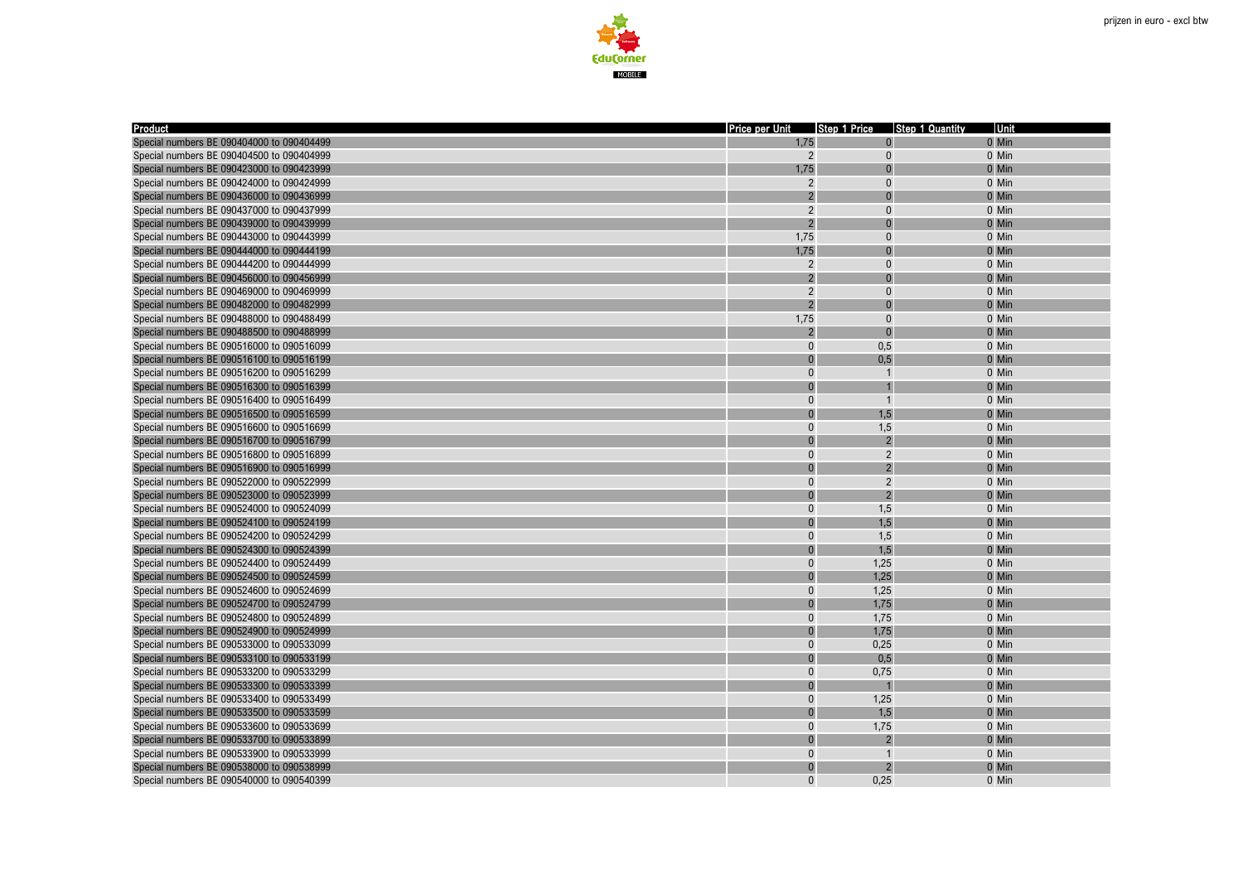

| <b>Product</b>                            | Price per Unit | Step 1 Price   | <b>Step 1 Quantity</b> | Unit  |
|-------------------------------------------|----------------|----------------|------------------------|-------|
| Special numbers BE 090404000 to 090404499 | 1,75           |                |                        | 0 Min |
| Special numbers BE 090404500 to 090404999 | $\overline{2}$ | $\Omega$       |                        | 0 Min |
| Special numbers BE 090423000 to 090423999 | 1.75           |                |                        | 0 Min |
| Special numbers BE 090424000 to 090424999 | $\overline{2}$ | $\Omega$       |                        | 0 Min |
| Special numbers BE 090436000 to 090436999 | $\overline{2}$ | $\sqrt{ }$     |                        | 0 Min |
| Special numbers BE 090437000 to 090437999 | $\overline{2}$ | $\Omega$       |                        | 0 Min |
| Special numbers BE 090439000 to 090439999 | $\overline{2}$ | $\Omega$       |                        | 0 Min |
| Special numbers BE 090443000 to 090443999 | 1,75           | $\Omega$       |                        | 0 Min |
| Special numbers BE 090444000 to 090444199 | 1,75           | $\Omega$       |                        | 0 Min |
| Special numbers BE 090444200 to 090444999 | $\overline{2}$ | $\Omega$       |                        | 0 Min |
| Special numbers BE 090456000 to 090456999 | $\overline{2}$ |                |                        | 0 Min |
| Special numbers BE 090469000 to 090469999 | $\overline{2}$ | $\Omega$       |                        | 0 Min |
| Special numbers BE 090482000 to 090482999 | $\overline{2}$ |                |                        | 0 Min |
| Special numbers BE 090488000 to 090488499 | 1,75           | $\Omega$       |                        | 0 Min |
| Special numbers BE 090488500 to 090488999 | $\overline{2}$ |                |                        | 0 Min |
| Special numbers BE 090516000 to 090516099 | $\Omega$       | 0,5            |                        | 0 Min |
| Special numbers BE 090516100 to 090516199 | $\Omega$       | 0,5            |                        | 0 Min |
| Special numbers BE 090516200 to 090516299 | $\mathbf{0}$   | $\overline{1}$ |                        | 0 Min |
| Special numbers BE 090516300 to 090516399 | $\Omega$       |                |                        | 0 Min |
| Special numbers BE 090516400 to 090516499 | $\mathbf{0}$   | $\overline{1}$ |                        | 0 Min |
| Special numbers BE 090516500 to 090516599 | $\Omega$       | 1,5            |                        | 0 Min |
| Special numbers BE 090516600 to 090516699 | $\mathbf{0}$   | 1,5            |                        | 0 Min |
| Special numbers BE 090516700 to 090516799 | $\overline{0}$ | $\mathcal{D}$  |                        | 0 Min |
| Special numbers BE 090516800 to 090516899 | $\pmb{0}$      | $\overline{2}$ |                        | 0 Min |
| Special numbers BE 090516900 to 090516999 | $\overline{0}$ | $\overline{2}$ |                        | 0 Min |
| Special numbers BE 090522000 to 090522999 | $\mathbf{0}$   | $\overline{2}$ |                        | 0 Min |
| Special numbers BE 090523000 to 090523999 | $\Omega$       | $\overline{2}$ |                        | 0 Min |
| Special numbers BE 090524000 to 090524099 | $\mathbf 0$    | 1,5            |                        | 0 Min |
| Special numbers BE 090524100 to 090524199 | $\Omega$       | 1,5            |                        | 0 Min |
| Special numbers BE 090524200 to 090524299 | $\mathbf{0}$   | 1,5            |                        | 0 Min |
| Special numbers BE 090524300 to 090524399 | $\overline{0}$ | 1,5            |                        | 0 Min |
| Special numbers BE 090524400 to 090524499 | $\overline{0}$ | 1,25           |                        | 0 Min |
| Special numbers BE 090524500 to 090524599 | $\overline{0}$ | 1,25           |                        | 0 Min |
| Special numbers BE 090524600 to 090524699 | $\pmb{0}$      | 1,25           |                        | 0 Min |
| Special numbers BE 090524700 to 090524799 | $\Omega$       | 1,75           |                        | 0 Min |
| Special numbers BE 090524800 to 090524899 | $\mathbf 0$    | 1,75           |                        | 0 Min |
| Special numbers BE 090524900 to 090524999 | $\Omega$       | 1,75           |                        | 0 Min |
| Special numbers BE 090533000 to 090533099 | $\overline{0}$ | 0,25           |                        | 0 Min |
| Special numbers BE 090533100 to 090533199 | $\Omega$       | 0,5            |                        | 0 Min |
| Special numbers BE 090533200 to 090533299 | $\pmb{0}$      | 0,75           |                        | 0 Min |
| Special numbers BE 090533300 to 090533399 | $\Omega$       |                |                        | 0 Min |
| Special numbers BE 090533400 to 090533499 | 0              | 1,25           |                        | 0 Min |
| Special numbers BE 090533500 to 090533599 | $\overline{0}$ | 1,5            |                        | 0 Min |
| Special numbers BE 090533600 to 090533699 | $\mathbf 0$    | 1,75           |                        | 0 Min |
| Special numbers BE 090533700 to 090533899 | $\overline{0}$ |                |                        | 0 Min |
| Special numbers BE 090533900 to 090533999 | $\bf{0}$       | $\overline{1}$ |                        | 0 Min |
| Special numbers BE 090538000 to 090538999 | $\overline{0}$ |                |                        | 0 Min |
| Special numbers BE 090540000 to 090540399 | $\Omega$       | 0.25           |                        | 0 Min |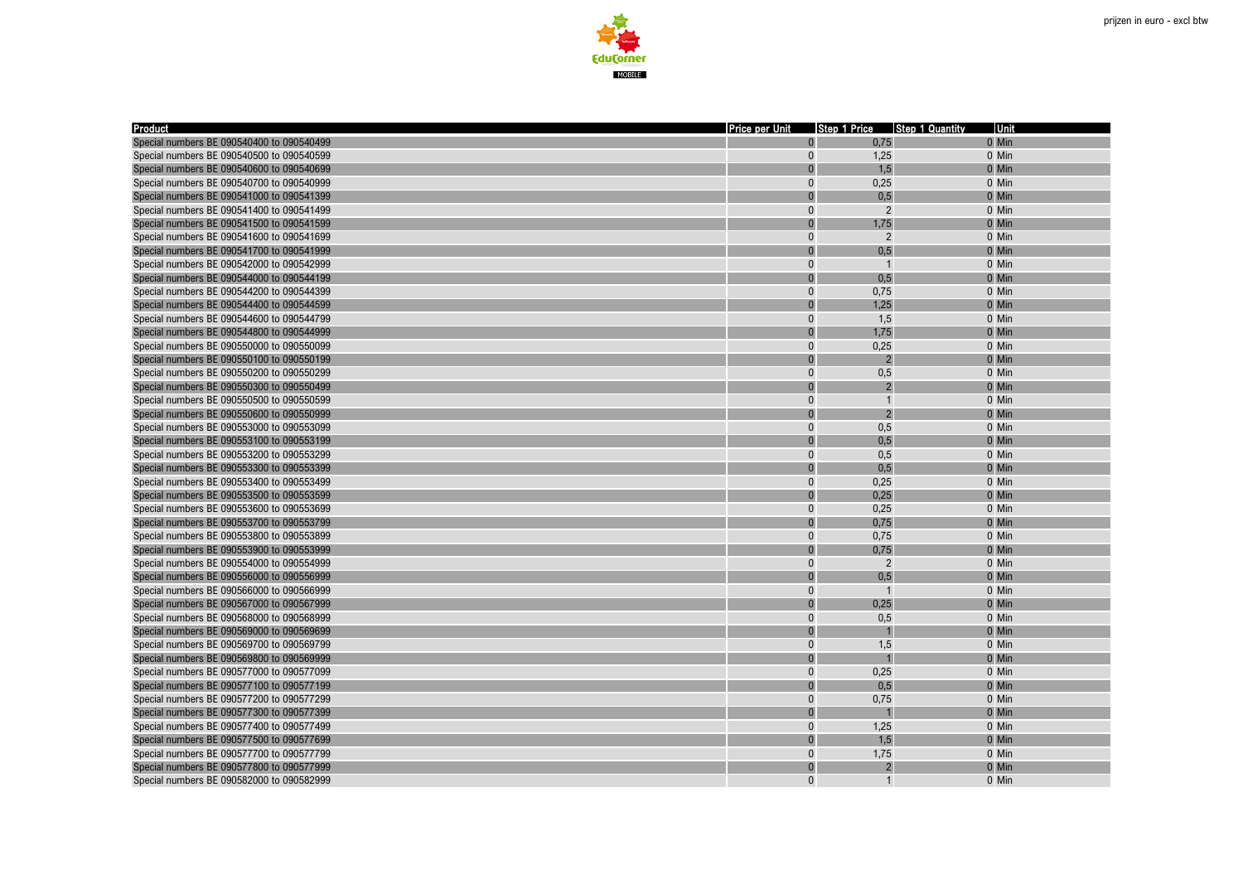

| Product                                   | Price per Unit | Step 1 Price Step 1 Quantity | Unit  |
|-------------------------------------------|----------------|------------------------------|-------|
| Special numbers BE 090540400 to 090540499 | $\Omega$       | 0,75                         | 0 Min |
| Special numbers BE 090540500 to 090540599 | $\overline{0}$ | 1,25                         | 0 Min |
| Special numbers BE 090540600 to 090540699 | $\Omega$       | 1,5                          | 0 Min |
| Special numbers BE 090540700 to 090540999 | $\overline{0}$ | 0,25                         | 0 Min |
| Special numbers BE 090541000 to 090541399 | $\Omega$       | 0,5                          | 0 Min |
| Special numbers BE 090541400 to 090541499 | $\Omega$       | 2                            | 0 Min |
| Special numbers BE 090541500 to 090541599 | $\overline{0}$ | 1,75                         | 0 Min |
| Special numbers BE 090541600 to 090541699 | $\Omega$       | $\overline{2}$               | 0 Min |
| Special numbers BE 090541700 to 090541999 | $\overline{0}$ | 0,5                          | 0 Min |
| Special numbers BE 090542000 to 090542999 | $\Omega$       | $\overline{1}$               | 0 Min |
| Special numbers BE 090544000 to 090544199 | $\overline{0}$ | 0,5                          | 0 Min |
| Special numbers BE 090544200 to 090544399 | $\Omega$       | 0,75                         | 0 Min |
| Special numbers BE 090544400 to 090544599 | $\overline{0}$ | 1,25                         | 0 Min |
| Special numbers BE 090544600 to 090544799 | $\Omega$       | 1,5                          | 0 Min |
| Special numbers BE 090544800 to 090544999 | $\overline{0}$ | 1,75                         | 0 Min |
| Special numbers BE 090550000 to 090550099 | $\Omega$       | 0,25                         | 0 Min |
| Special numbers BE 090550100 to 090550199 | $\Omega$       | $\overline{2}$               | 0 Min |
| Special numbers BE 090550200 to 090550299 | $\overline{0}$ | 0,5                          | 0 Min |
| Special numbers BE 090550300 to 090550499 | $\overline{0}$ | $\overline{2}$               | 0 Min |
| Special numbers BE 090550500 to 090550599 | $\Omega$       | $\overline{1}$               | 0 Min |
| Special numbers BE 090550600 to 090550999 | $\Omega$       | $\overline{2}$               | 0 Min |
| Special numbers BE 090553000 to 090553099 | $\bf{0}$       | 0,5                          | 0 Min |
| Special numbers BE 090553100 to 090553199 | $\Omega$       | 0,5                          | 0 Min |
| Special numbers BE 090553200 to 090553299 | 0              | 0,5                          | 0 Min |
| Special numbers BE 090553300 to 090553399 | $\Omega$       | 0,5                          | 0 Min |
| Special numbers BE 090553400 to 090553499 | $\Omega$       | 0,25                         | 0 Min |
| Special numbers BE 090553500 to 090553599 | $\Omega$       | 0,25                         | 0 Min |
| Special numbers BE 090553600 to 090553699 | $\Omega$       | 0.25                         | 0 Min |
| Special numbers BE 090553700 to 090553799 | $\Omega$       | 0,75                         | 0 Min |
| Special numbers BE 090553800 to 090553899 | $\overline{0}$ | 0,75                         | 0 Min |
| Special numbers BE 090553900 to 090553999 | $\Omega$       | 0,75                         | 0 Min |
| Special numbers BE 090554000 to 090554999 | $\Omega$       | $\overline{2}$               | 0 Min |
| Special numbers BE 090556000 to 090556999 | $\Omega$       | 0,5                          | 0 Min |
| Special numbers BE 090566000 to 090566999 | $\overline{0}$ | $\overline{1}$               | 0 Min |
| Special numbers BE 090567000 to 090567999 | $\Omega$       | 0,25                         | 0 Min |
| Special numbers BE 090568000 to 090568999 | $\Omega$       | 0,5                          | 0 Min |
| Special numbers BE 090569000 to 090569699 | $\Omega$       |                              | 0 Min |
| Special numbers BE 090569700 to 090569799 | $\Omega$       | 1,5                          | 0 Min |
| Special numbers BE 090569800 to 090569999 | $\overline{0}$ |                              | 0 Min |
| Special numbers BE 090577000 to 090577099 | $\mathbf{0}$   | 0,25                         | 0 Min |
| Special numbers BE 090577100 to 090577199 | $\Omega$       | 0,5                          | 0 Min |
| Special numbers BE 090577200 to 090577299 | $\bf{0}$       | 0,75                         | 0 Min |
| Special numbers BE 090577300 to 090577399 | $\Omega$       |                              | 0 Min |
| Special numbers BE 090577400 to 090577499 | $\bf{0}$       | 1,25                         | 0 Min |
| Special numbers BE 090577500 to 090577699 | $\Omega$       | 1,5                          | 0 Min |
| Special numbers BE 090577700 to 090577799 | $\overline{0}$ | 1,75                         | 0 Min |
| Special numbers BE 090577800 to 090577999 | $\Omega$       | $\overline{2}$               | 0 Min |
| Special numbers BE 090582000 to 090582999 | $\Omega$       | $\overline{1}$               | 0 Min |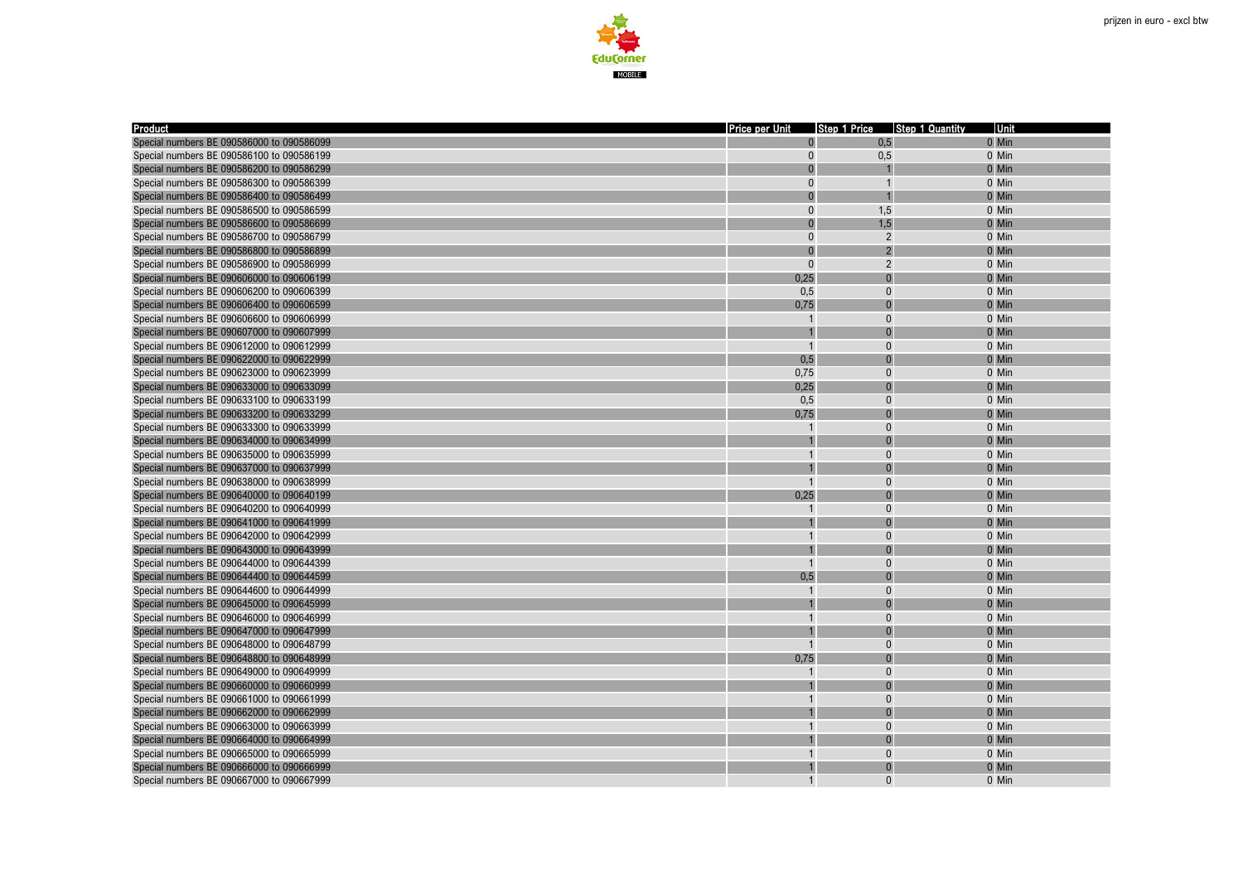

| <b>Product</b>                            | Price per Unit | Step 1 Price Step 1 Quantity | Unit    |
|-------------------------------------------|----------------|------------------------------|---------|
| Special numbers BE 090586000 to 090586099 | $\overline{0}$ | 0,5                          | 0 Min   |
| Special numbers BE 090586100 to 090586199 | $\overline{0}$ | 0,5                          | 0 Min   |
| Special numbers BE 090586200 to 090586299 | $\Omega$       |                              | 0 Min   |
| Special numbers BE 090586300 to 090586399 | 0              |                              | 0 Min   |
| Special numbers BE 090586400 to 090586499 | $\overline{0}$ |                              | 0 Min   |
| Special numbers BE 090586500 to 090586599 | $\bf{0}$       | 1,5                          | 0 Min   |
| Special numbers BE 090586600 to 090586699 | $\Omega$       | 1,5                          | 0 Min   |
| Special numbers BE 090586700 to 090586799 | $\overline{0}$ | $\overline{2}$               | 0 Min   |
| Special numbers BE 090586800 to 090586899 | $\Omega$       | $\overline{2}$               | 0 Min   |
| Special numbers BE 090586900 to 090586999 | $\Omega$       | $\overline{2}$               | 0 Min   |
| Special numbers BE 090606000 to 090606199 | 0,25           | $\Omega$                     | 0 Min   |
| Special numbers BE 090606200 to 090606399 | 0.5            | $\Omega$                     | 0 Min   |
| Special numbers BE 090606400 to 090606599 | 0,75           |                              | 0 Min   |
| Special numbers BE 090606600 to 090606999 |                | $\Omega$                     | 0 Min   |
| Special numbers BE 090607000 to 090607999 |                |                              | 0 Min   |
| Special numbers BE 090612000 to 090612999 | $\overline{1}$ | $\Omega$                     | 0 Min   |
| Special numbers BE 090622000 to 090622999 | 0,5            |                              | 0 Min   |
| Special numbers BE 090623000 to 090623999 | 0,75           | $\Omega$                     | 0 Min   |
| Special numbers BE 090633000 to 090633099 | 0,25           |                              | 0 Min   |
| Special numbers BE 090633100 to 090633199 | 0,5            | $\Omega$                     | 0 Min   |
| Special numbers BE 090633200 to 090633299 | 0,75           |                              | 0 Min   |
| Special numbers BE 090633300 to 090633999 |                | $\mathbf{0}$                 | 0 Min   |
| Special numbers BE 090634000 to 090634999 |                |                              | 0 Min   |
| Special numbers BE 090635000 to 090635999 |                | $\Omega$                     | 0 Min   |
| Special numbers BE 090637000 to 090637999 |                |                              | 0 Min   |
| Special numbers BE 090638000 to 090638999 | $\overline{1}$ | $\Omega$                     | 0 Min   |
| Special numbers BE 090640000 to 090640199 | 0,25           |                              | 0 Min   |
| Special numbers BE 090640200 to 090640999 |                | $\Omega$                     | 0 Min   |
| Special numbers BE 090641000 to 090641999 |                |                              | 0 Min   |
| Special numbers BE 090642000 to 090642999 |                | $\Omega$                     | 0 Min   |
| Special numbers BE 090643000 to 090643999 |                |                              | 0 Min   |
| Special numbers BE 090644000 to 090644399 |                | $\Omega$                     | 0 Min   |
| Special numbers BE 090644400 to 090644599 | 0,5            |                              | 0 Min   |
| Special numbers BE 090644600 to 090644999 |                | $\Omega$                     | 0 Min   |
| Special numbers BE 090645000 to 090645999 |                |                              | 0 Min   |
| Special numbers BE 090646000 to 090646999 |                | $\Omega$                     | 0 Min   |
| Special numbers BE 090647000 to 090647999 |                |                              | 0 Min   |
| Special numbers BE 090648000 to 090648799 |                | $\Omega$                     | 0 Min   |
| Special numbers BE 090648800 to 090648999 | 0,75           |                              | 0 Min   |
| Special numbers BE 090649000 to 090649999 |                | $\Omega$                     | 0 Min   |
| Special numbers BE 090660000 to 090660999 |                |                              | 0 Min   |
| Special numbers BE 090661000 to 090661999 |                | $\Omega$                     | 0 Min   |
| Special numbers BE 090662000 to 090662999 |                |                              | 0 Min   |
| Special numbers BE 090663000 to 090663999 |                | $\Omega$                     | 0 Min   |
| Special numbers BE 090664000 to 090664999 |                |                              | 0 Min   |
| Special numbers BE 090665000 to 090665999 |                | $\Omega$                     | 0 Min   |
| Special numbers BE 090666000 to 090666999 |                | $\Omega$                     | 0 Min   |
| Special numbers BE 090667000 to 090667999 | $\mathbf{1}$   | $\Omega$                     | $0$ Min |
|                                           |                |                              |         |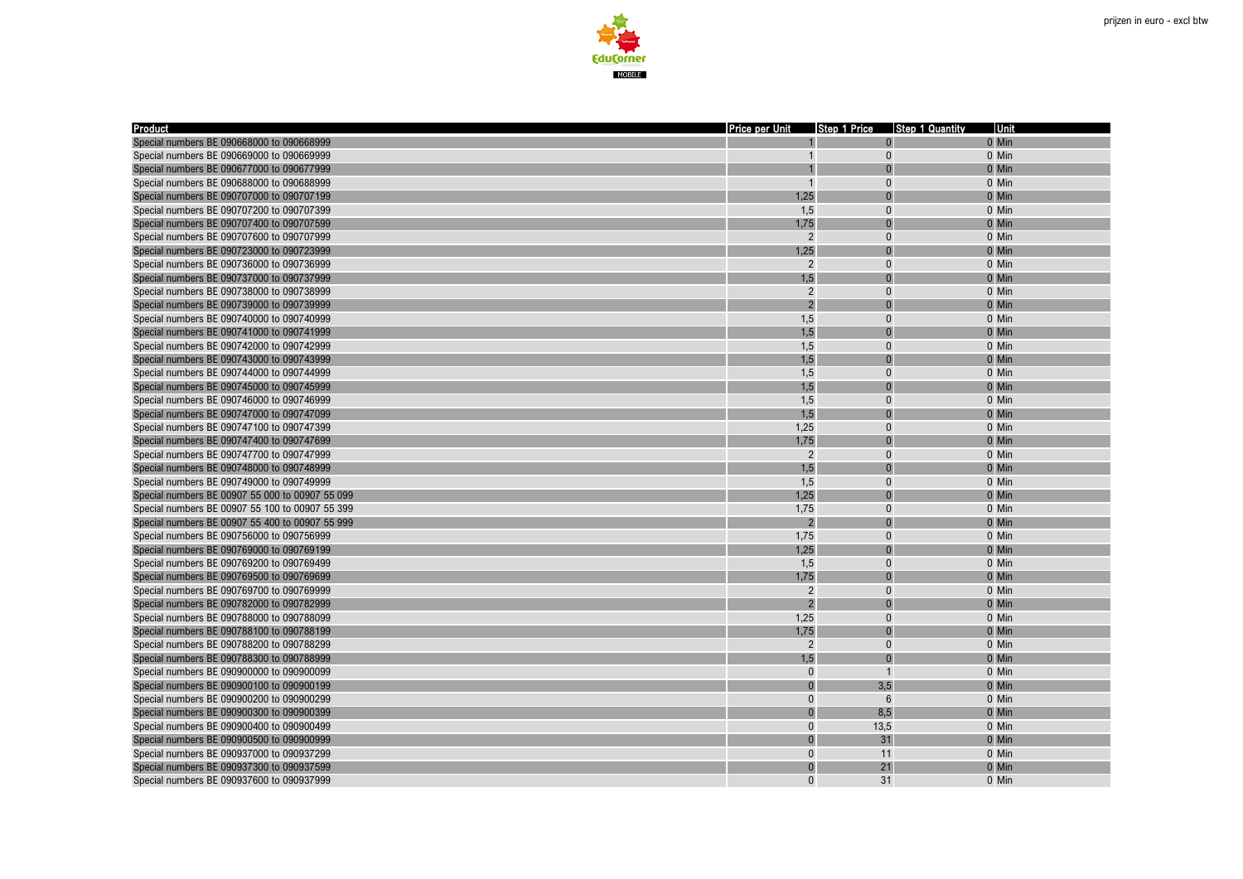



| Product                                         | <b>Price per Unit</b>    |                | Step 1 Price Step 1 Quantity | <b>Unit</b> |
|-------------------------------------------------|--------------------------|----------------|------------------------------|-------------|
| Special numbers BE 090668000 to 090668999       |                          | $\Omega$       |                              | 0 Min       |
| Special numbers BE 090669000 to 090669999       |                          | $\mathbf{0}$   |                              | 0 Min       |
| Special numbers BE 090677000 to 090677999       |                          |                |                              | 0 Min       |
| Special numbers BE 090688000 to 090688999       | $\overline{1}$           | $\Omega$       |                              | 0 Min       |
| Special numbers BE 090707000 to 090707199       | 1,25                     |                |                              | 0 Min       |
| Special numbers BE 090707200 to 090707399       | 1,5                      | $\mathbf{0}$   |                              | 0 Min       |
| Special numbers BE 090707400 to 090707599       | 1,75                     | $\Omega$       |                              | 0 Min       |
| Special numbers BE 090707600 to 090707999       | $\overline{2}$           | $\Omega$       |                              | 0 Min       |
| Special numbers BE 090723000 to 090723999       | 1,25                     | $\Omega$       |                              | 0 Min       |
| Special numbers BE 090736000 to 090736999       | $\overline{2}$           | $\Omega$       |                              | 0 Min       |
| Special numbers BE 090737000 to 090737999       | 1,5                      | $\Omega$       |                              | 0 Min       |
| Special numbers BE 090738000 to 090738999       | $\overline{2}$           | $\Omega$       |                              | 0 Min       |
| Special numbers BE 090739000 to 090739999       | $\overline{2}$           |                |                              | 0 Min       |
| Special numbers BE 090740000 to 090740999       | 1,5                      | $\Omega$       |                              | 0 Min       |
| Special numbers BE 090741000 to 090741999       | 1,5                      |                |                              | 0 Min       |
| Special numbers BE 090742000 to 090742999       | 1,5                      | $\Omega$       |                              | 0 Min       |
| Special numbers BE 090743000 to 090743999       | 1,5                      |                |                              | 0 Min       |
| Special numbers BE 090744000 to 090744999       | 1,5                      | $\Omega$       |                              | 0 Min       |
| Special numbers BE 090745000 to 090745999       | 1,5                      |                |                              | 0 Min       |
| Special numbers BE 090746000 to 090746999       | 1,5                      | $\Omega$       |                              | 0 Min       |
| Special numbers BE 090747000 to 090747099       | 1,5                      | $\Omega$       |                              | 0 Min       |
| Special numbers BE 090747100 to 090747399       | 1,25                     | $\mathbf{0}$   |                              | 0 Min       |
| Special numbers BE 090747400 to 090747699       | 1,75                     | $\Omega$       |                              | 0 Min       |
| Special numbers BE 090747700 to 090747999       | $\overline{2}$           | $\mathbf{0}$   |                              | 0 Min       |
| Special numbers BE 090748000 to 090748999       | 1,5                      |                |                              | 0 Min       |
| Special numbers BE 090749000 to 090749999       | 1,5                      | $\Omega$       |                              | 0 Min       |
| Special numbers BE 00907 55 000 to 00907 55 099 | 1,25                     |                |                              | 0 Min       |
| Special numbers BE 00907 55 100 to 00907 55 399 | 1,75                     | $\Omega$       |                              | 0 Min       |
| Special numbers BE 00907 55 400 to 00907 55 999 | $\overline{\mathcal{L}}$ |                |                              | 0 Min       |
| Special numbers BE 090756000 to 090756999       | 1,75                     | $\Omega$       |                              | 0 Min       |
| Special numbers BE 090769000 to 090769199       | 1,25                     | $\Omega$       |                              | 0 Min       |
| Special numbers BE 090769200 to 090769499       | 1,5                      | $\Omega$       |                              | 0 Min       |
| Special numbers BE 090769500 to 090769699       | 1,75                     |                |                              | 0 Min       |
| Special numbers BE 090769700 to 090769999       | $\overline{2}$           | $\Omega$       |                              | 0 Min       |
| Special numbers BE 090782000 to 090782999       | $\overline{2}$           |                |                              | 0 Min       |
| Special numbers BE 090788000 to 090788099       | 1,25                     | $\Omega$       |                              | 0 Min       |
| Special numbers BE 090788100 to 090788199       | 1,75                     |                |                              | 0 Min       |
| Special numbers BE 090788200 to 090788299       | $\overline{2}$           | $\Omega$       |                              | 0 Min       |
| Special numbers BE 090788300 to 090788999       | 1,5                      | $\Omega$       |                              | 0 Min       |
| Special numbers BE 090900000 to 090900099       | $\Omega$                 | $\overline{1}$ |                              | 0 Min       |
| Special numbers BE 090900100 to 090900199       | $\overline{0}$           | 3,5            |                              | 0 Min       |
| Special numbers BE 090900200 to 090900299       | $\Omega$                 | 6              |                              | 0 Min       |
| Special numbers BE 090900300 to 090900399       | $\Omega$                 | 8,5            |                              | 0 Min       |
| Special numbers BE 090900400 to 090900499       | $\pmb{0}$                | 13,5           |                              | 0 Min       |
| Special numbers BE 090900500 to 090900999       | $\Omega$                 | 31             |                              | 0 Min       |
| Special numbers BE 090937000 to 090937299       | $\Omega$                 | 11             |                              | 0 Min       |
| Special numbers BE 090937300 to 090937599       | $\Omega$                 | 21             |                              | 0 Min       |
| Special numbers BE 090937600 to 090937999       | $\Omega$                 | 31             |                              | 0 Min       |
|                                                 |                          |                |                              |             |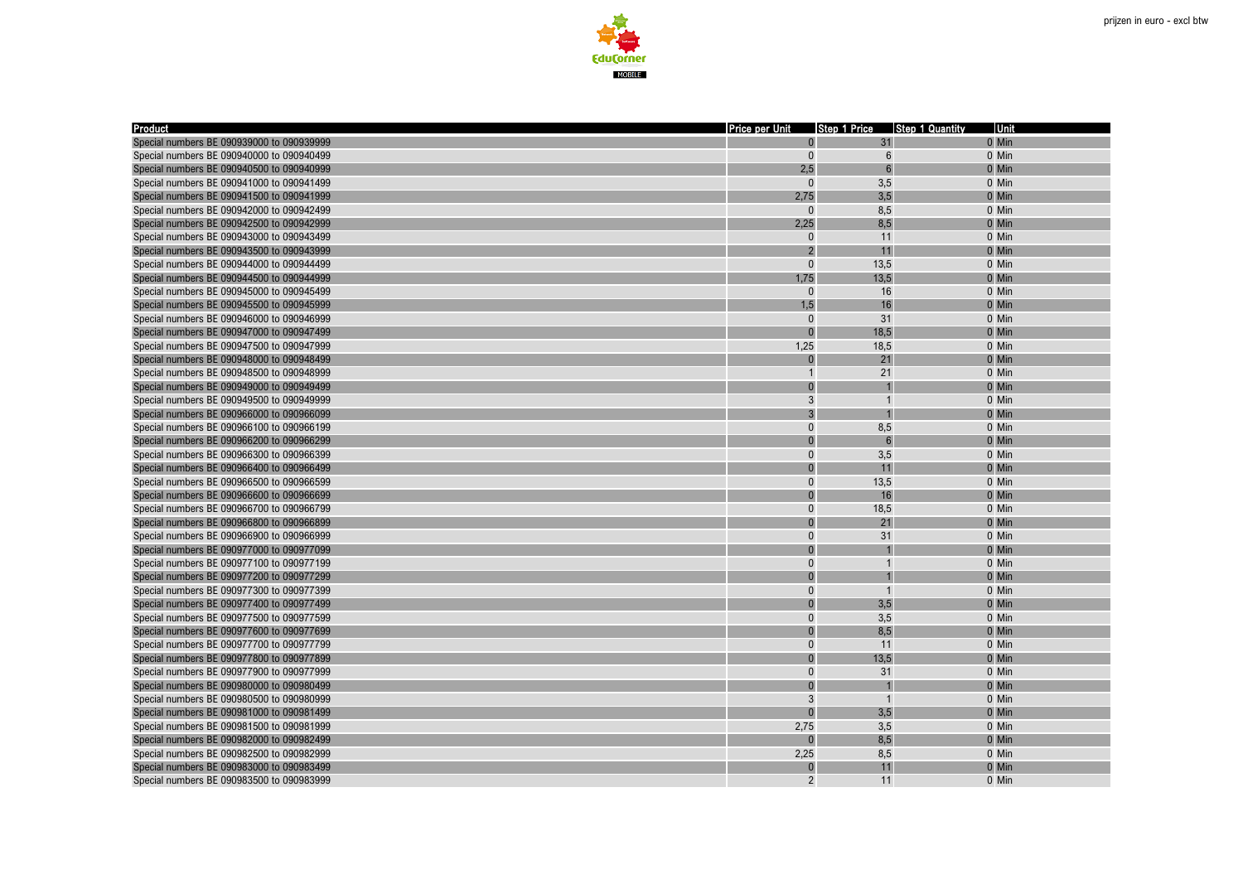



| <b>Product</b>                            | Price per Unit |                  | Step 1 Price Step 1 Quantity | Unit  |
|-------------------------------------------|----------------|------------------|------------------------------|-------|
| Special numbers BE 090939000 to 090939999 |                | 31               |                              | 0 Min |
| Special numbers BE 090940000 to 090940499 | $\mathbf{0}$   | $6\phantom{1}6$  |                              | 0 Min |
| Special numbers BE 090940500 to 090940999 | 2.5            | $6 \overline{6}$ |                              | 0 Min |
| Special numbers BE 090941000 to 090941499 | $\Omega$       | 3,5              |                              | 0 Min |
| Special numbers BE 090941500 to 090941999 | 2,75           | 3,5              |                              | 0 Min |
| Special numbers BE 090942000 to 090942499 | $\Omega$       | 8,5              |                              | 0 Min |
| Special numbers BE 090942500 to 090942999 | 2,25           | 8,5              |                              | 0 Min |
| Special numbers BE 090943000 to 090943499 | 0              | 11               |                              | 0 Min |
| Special numbers BE 090943500 to 090943999 | $\overline{2}$ | 11               |                              | 0 Min |
| Special numbers BE 090944000 to 090944499 | $\Omega$       | 13,5             |                              | 0 Min |
| Special numbers BE 090944500 to 090944999 | 1,75           | 13,5             |                              | 0 Min |
| Special numbers BE 090945000 to 090945499 | $\Omega$       | 16               |                              | 0 Min |
| Special numbers BE 090945500 to 090945999 | 1,5            | 16               |                              | 0 Min |
| Special numbers BE 090946000 to 090946999 | $\Omega$       | 31               |                              | 0 Min |
| Special numbers BE 090947000 to 090947499 | $\Omega$       | 18,5             |                              | 0 Min |
| Special numbers BE 090947500 to 090947999 | 1,25           | 18,5             |                              | 0 Min |
| Special numbers BE 090948000 to 090948499 | $\overline{0}$ | 21               |                              | 0 Min |
| Special numbers BE 090948500 to 090948999 | $\mathbf{1}$   | 21               |                              | 0 Min |
| Special numbers BE 090949000 to 090949499 | $\overline{0}$ |                  |                              | 0 Min |
| Special numbers BE 090949500 to 090949999 | 3              | $\overline{1}$   |                              | 0 Min |
| Special numbers BE 090966000 to 090966099 | $\overline{3}$ |                  |                              | 0 Min |
| Special numbers BE 090966100 to 090966199 | $\pmb{0}$      | 8,5              |                              | 0 Min |
| Special numbers BE 090966200 to 090966299 | $\overline{0}$ | $\mathsf{6}$     |                              | 0 Min |
| Special numbers BE 090966300 to 090966399 | $\overline{0}$ | 3,5              |                              | 0 Min |
| Special numbers BE 090966400 to 090966499 | $\overline{0}$ | 11               |                              | 0 Min |
| Special numbers BE 090966500 to 090966599 | $\Omega$       | 13,5             |                              | 0 Min |
| Special numbers BE 090966600 to 090966699 | $\overline{0}$ | 16               |                              | 0 Min |
| Special numbers BE 090966700 to 090966799 | $\Omega$       | 18,5             |                              | 0 Min |
| Special numbers BE 090966800 to 090966899 | $\Omega$       | 21               |                              | 0 Min |
| Special numbers BE 090966900 to 090966999 | $\Omega$       | 31               |                              | 0 Min |
| Special numbers BE 090977000 to 090977099 | $\overline{0}$ |                  |                              | 0 Min |
| Special numbers BE 090977100 to 090977199 | $\Omega$       | $\overline{1}$   |                              | 0 Min |
| Special numbers BE 090977200 to 090977299 | O              |                  |                              | 0 Min |
| Special numbers BE 090977300 to 090977399 | $\overline{0}$ | $\overline{1}$   |                              | 0 Min |
| Special numbers BE 090977400 to 090977499 |                | 3,5              |                              | 0 Min |
| Special numbers BE 090977500 to 090977599 | $\Omega$       | 3,5              |                              | 0 Min |
| Special numbers BE 090977600 to 090977699 | $\overline{0}$ | 8,5              |                              | 0 Min |
| Special numbers BE 090977700 to 090977799 | $\overline{0}$ | 11               |                              | 0 Min |
| Special numbers BE 090977800 to 090977899 | $\overline{0}$ | 13,5             |                              | 0 Min |
| Special numbers BE 090977900 to 090977999 | $\overline{0}$ | 31               |                              | 0 Min |
| Special numbers BE 090980000 to 090980499 | $\overline{0}$ |                  |                              | 0 Min |
| Special numbers BE 090980500 to 090980999 | 3              | $\overline{1}$   |                              | 0 Min |
| Special numbers BE 090981000 to 090981499 | $\overline{0}$ | 3,5              |                              | 0 Min |
| Special numbers BE 090981500 to 090981999 | 2,75           | 3,5              |                              | 0 Min |
| Special numbers BE 090982000 to 090982499 |                | 8,5              |                              | 0 Min |
| Special numbers BE 090982500 to 090982999 | 2,25           | 8,5              |                              | 0 Min |
| Special numbers BE 090983000 to 090983499 | ŋ              | 11               |                              | 0 Min |
| Special numbers BE 090983500 to 090983999 | $\overline{2}$ | 11               |                              | 0 Min |
|                                           |                |                  |                              |       |